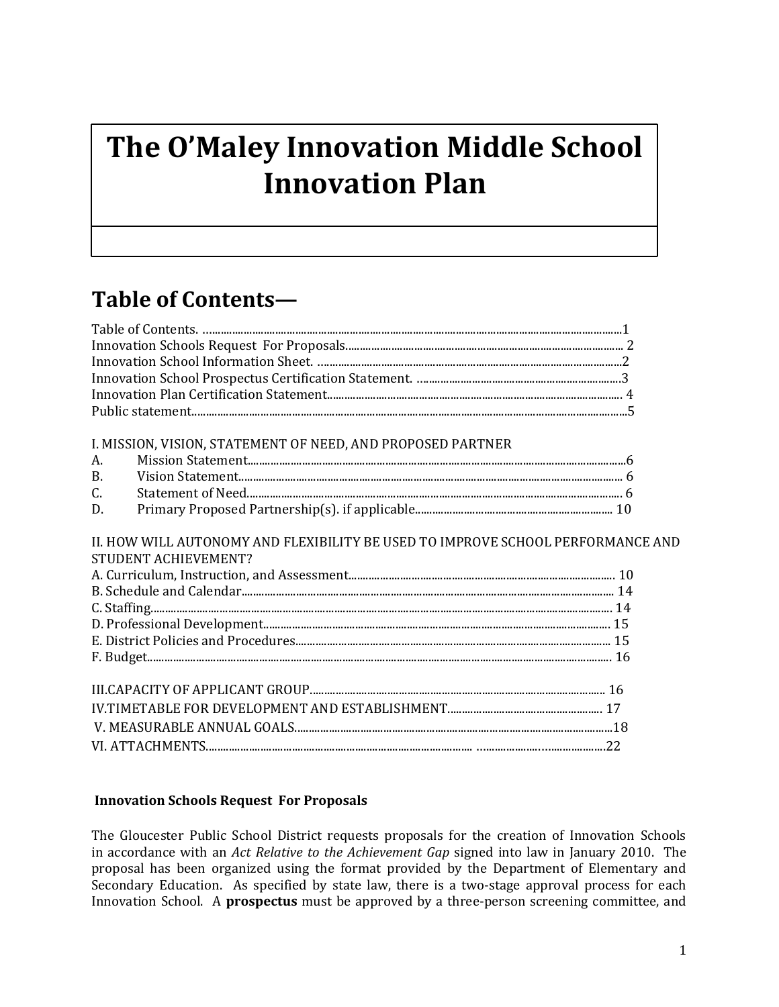# **The O'Maley Innovation Middle School Innovation Plan**

## **Table of Contents—**

| I. MISSION, VISION, STATEMENT OF NEED, AND PROPOSED PARTNER                                             |  |
|---------------------------------------------------------------------------------------------------------|--|
| А.                                                                                                      |  |
| $\mathbf{R}$                                                                                            |  |
| C.                                                                                                      |  |
| D.                                                                                                      |  |
| II. HOW WILL AUTONOMY AND FLEXIBILITY BE USED TO IMPROVE SCHOOL PERFORMANCE AND<br>STUDENT ACHIEVEMENT? |  |
|                                                                                                         |  |
|                                                                                                         |  |
|                                                                                                         |  |
|                                                                                                         |  |
|                                                                                                         |  |
|                                                                                                         |  |
|                                                                                                         |  |
|                                                                                                         |  |
|                                                                                                         |  |
|                                                                                                         |  |
|                                                                                                         |  |

## **Innovation Schools Request For Proposals**

The Gloucester Public School District requests proposals for the creation of Innovation Schools in accordance with an *Act Relative to the Achievement Gap* signed into law in January 2010. The proposal has been organized using the format provided by the Department of Elementary and Secondary Education. As specified by state law, there is a two-stage approval process for each Innovation School. A **prospectus** must be approved by a three-person screening committee, and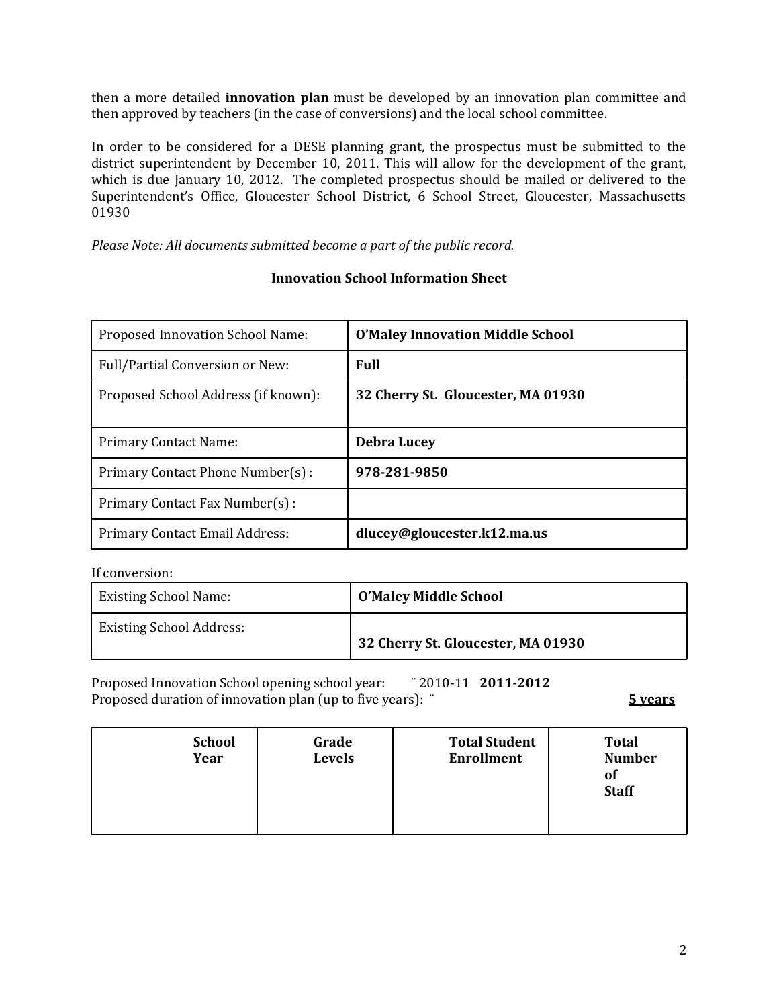then a more detailed **innovation plan** must be developed by an innovation plan committee and then approved by teachers (in the case of conversions) and the local school committee.

In order to be considered for a DESE planning grant, the prospectus must be submitted to the district superintendent by December 10, 2011. This will allow for the development of the grant, which is due January 10, 2012. The completed prospectus should be mailed or delivered to the Superintendent's Office, Gloucester School District, 6 School Street, Gloucester, Massachusetts 01930

*Please Note: All documents submitted become a part of the public record.*

## **Innovation School Information Sheet**

| Proposed Innovation School Name:       | <b>O'Maley Innovation Middle School</b> |
|----------------------------------------|-----------------------------------------|
| <b>Full/Partial Conversion or New:</b> | Full                                    |
| Proposed School Address (if known):    | 32 Cherry St. Gloucester, MA 01930      |
| <b>Primary Contact Name:</b>           | <b>Debra Lucey</b>                      |
| Primary Contact Phone Number(s):       | 978-281-9850                            |
| Primary Contact Fax Number(s):         |                                         |
| Primary Contact Email Address:         | dlucey@gloucester.k12.ma.us             |

#### If conversion:

| <b>Existing School Name:</b>    | O'Maley Middle School              |
|---------------------------------|------------------------------------|
| <b>Existing School Address:</b> | 32 Cherry St. Gloucester, MA 01930 |

Proposed Innovation School opening school year: ¨ 2010-11 **2011-2012** Proposed duration of innovation plan (up to five years): ¨ **5 years**

| <b>School</b><br>Year | Grade<br><b>Levels</b> | <b>Total Student</b><br><b>Enrollment</b> | <b>Total</b><br><b>Number</b><br>0f<br><b>Staff</b> |
|-----------------------|------------------------|-------------------------------------------|-----------------------------------------------------|
|                       |                        |                                           |                                                     |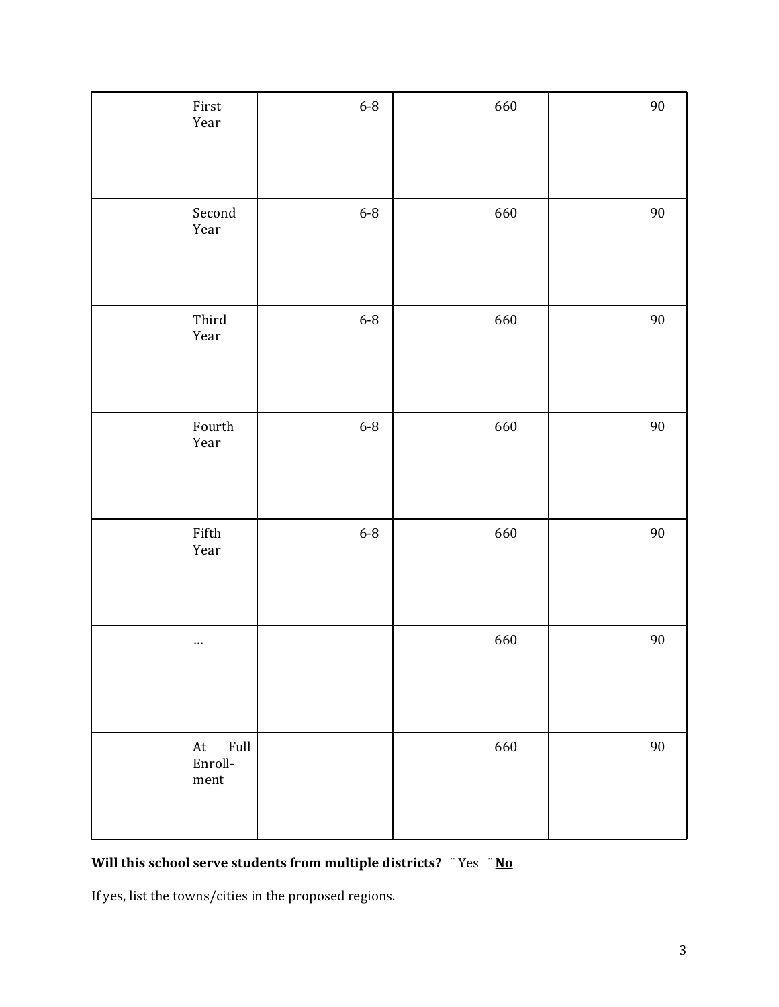| First<br>Year                                                                       | $6-8$ | 660 | $90\,$ |
|-------------------------------------------------------------------------------------|-------|-----|--------|
| Second<br>Year                                                                      | $6-8$ | 660 | $90\,$ |
| Third<br>Year                                                                       | $6-8$ | 660 | $90\,$ |
| Fourth<br>Year                                                                      | $6-8$ | 660 | $90\,$ |
| Fifth<br>Year                                                                       | $6-8$ | 660 | $90\,$ |
| $\cdots$                                                                            |       | 660 | $90\,$ |
| $\operatorname{Full}$<br>$\hbox{\rm At}$<br>Enroll-<br>$\mathop{\rm ment}\nolimits$ |       | 660 | $90\,$ |

## **Will this school serve students from multiple districts?** ¨ Yes ¨ **No**

If yes, list the towns/cities in the proposed regions.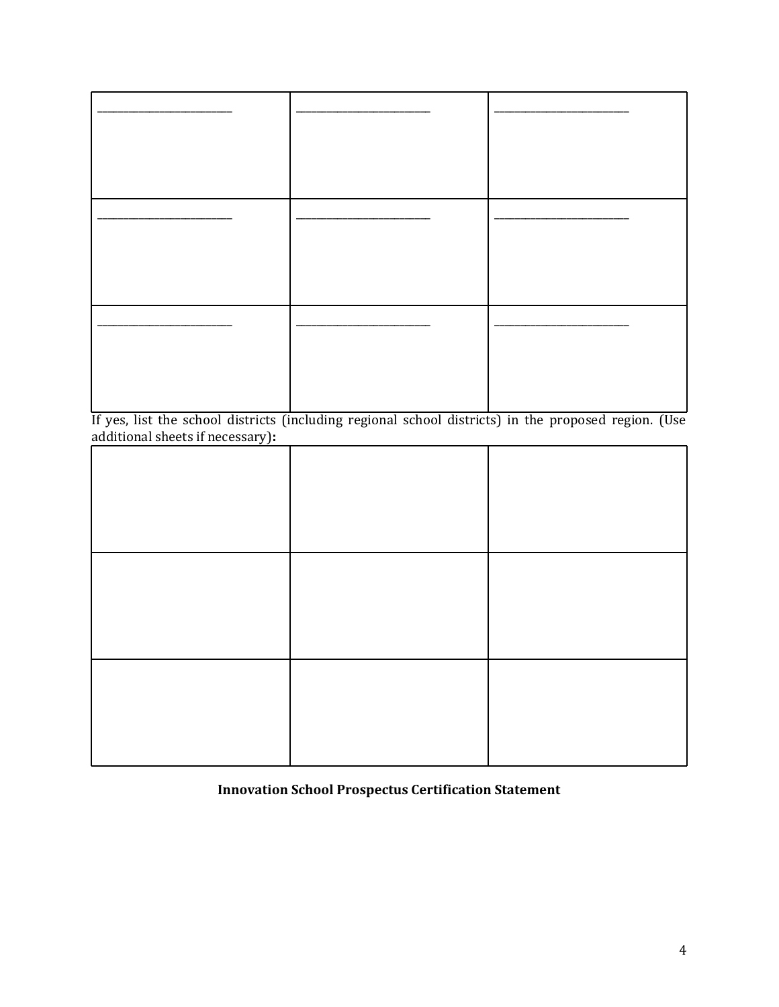If yes, list the school districts (including regional school districts) in the proposed region. (Use additional sheets if necessary)**:**

## **Innovation School Prospectus Certification Statement**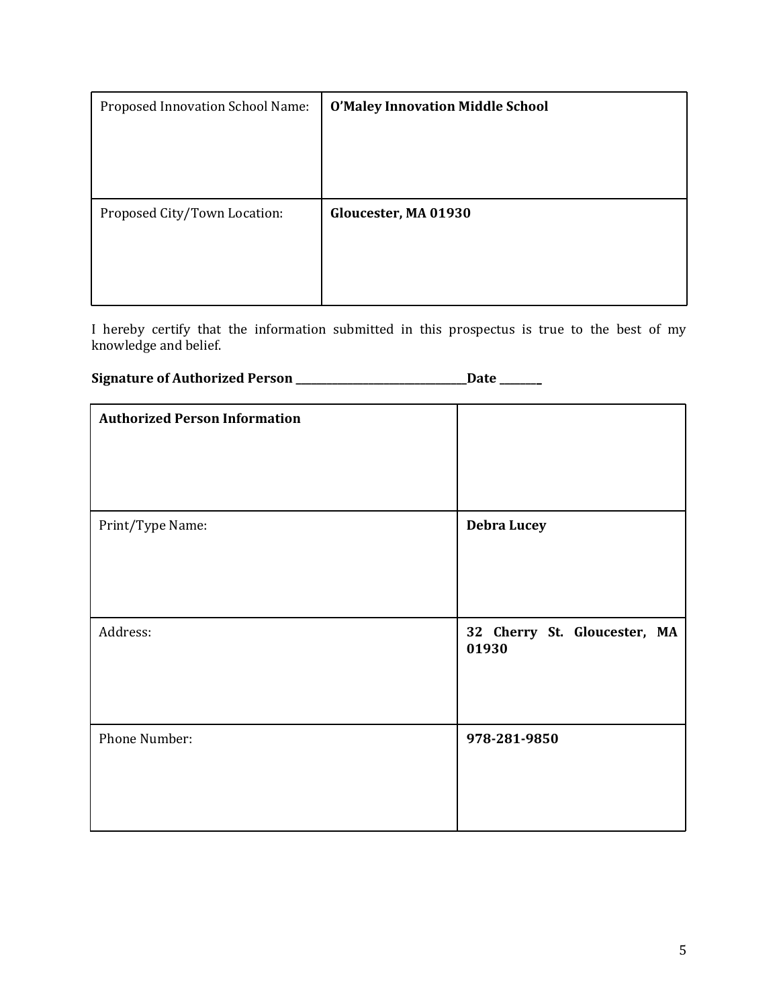| Proposed Innovation School Name: | <b>O'Maley Innovation Middle School</b> |
|----------------------------------|-----------------------------------------|
|                                  |                                         |
|                                  |                                         |
|                                  |                                         |
| Proposed City/Town Location:     | Gloucester, MA 01930                    |
|                                  |                                         |
|                                  |                                         |
|                                  |                                         |

I hereby certify that the information submitted in this prospectus is true to the best of my knowledge and belief.

## **Signature of Authorized Person \_\_\_\_\_\_\_\_\_\_\_\_\_\_\_\_\_\_\_\_\_\_\_\_\_\_\_\_\_\_\_\_\_Date \_\_\_\_\_\_\_\_**

| <b>Authorized Person Information</b> |                                       |
|--------------------------------------|---------------------------------------|
| Print/Type Name:                     | <b>Debra Lucey</b>                    |
| Address:                             | 32 Cherry St. Gloucester, MA<br>01930 |
| Phone Number:                        | 978-281-9850                          |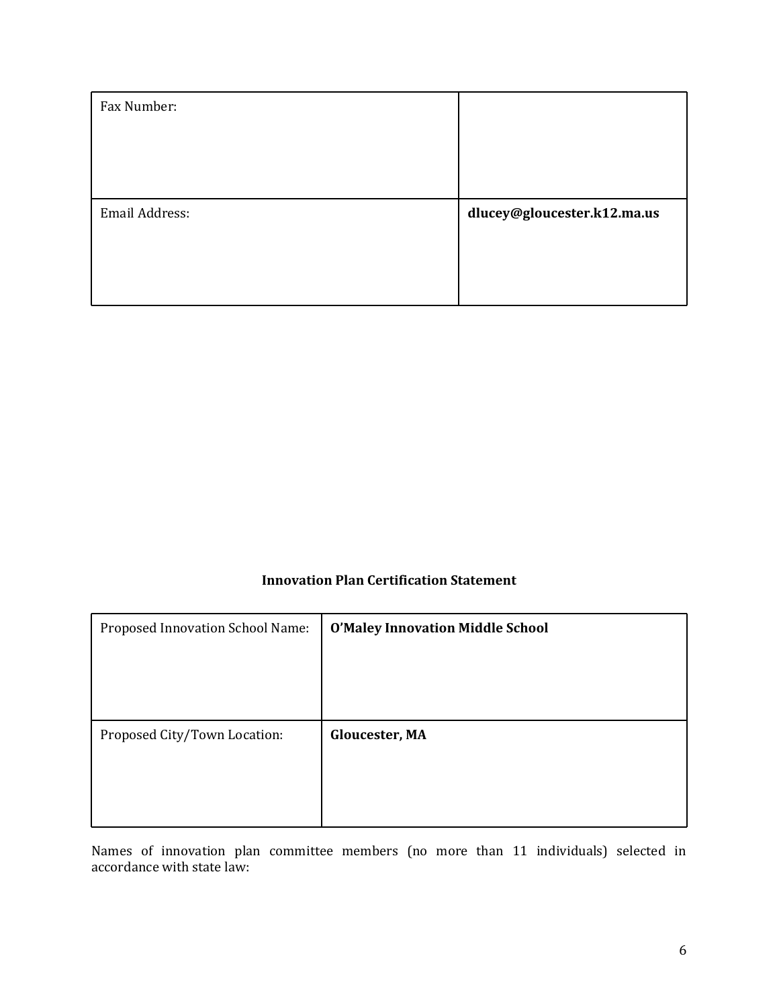| Fax Number:    |                             |
|----------------|-----------------------------|
|                |                             |
|                |                             |
|                |                             |
| Email Address: | dlucey@gloucester.k12.ma.us |
|                |                             |
|                |                             |
|                |                             |

## **Innovation Plan Certification Statement**

| Proposed Innovation School Name: | <b>O'Maley Innovation Middle School</b> |
|----------------------------------|-----------------------------------------|
|                                  |                                         |
|                                  |                                         |
|                                  |                                         |
| Proposed City/Town Location:     | Gloucester, MA                          |
|                                  |                                         |
|                                  |                                         |
|                                  |                                         |

Names of innovation plan committee members (no more than 11 individuals) selected in accordance with state law: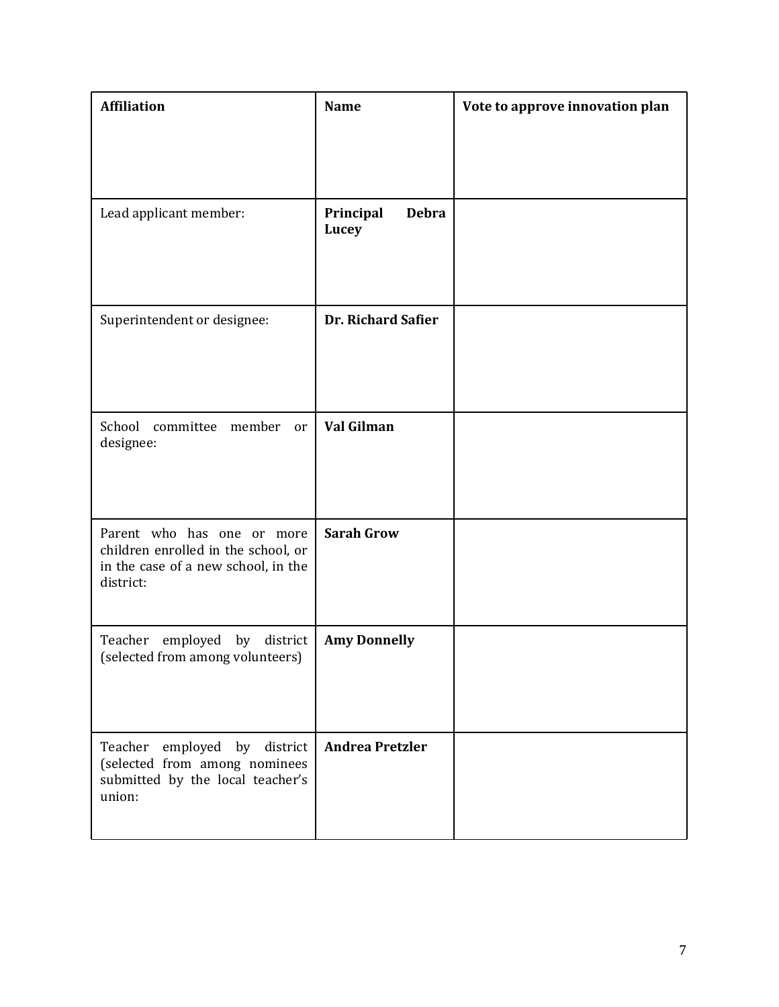| <b>Affiliation</b>                                                                                                    | <b>Name</b>                        | Vote to approve innovation plan |
|-----------------------------------------------------------------------------------------------------------------------|------------------------------------|---------------------------------|
|                                                                                                                       |                                    |                                 |
| Lead applicant member:                                                                                                | Principal<br><b>Debra</b><br>Lucey |                                 |
| Superintendent or designee:                                                                                           | <b>Dr. Richard Safier</b>          |                                 |
| School<br>committee<br>member<br>or<br>designee:                                                                      | Val Gilman                         |                                 |
| Parent who has one or more<br>children enrolled in the school, or<br>in the case of a new school, in the<br>district: | <b>Sarah Grow</b>                  |                                 |
| employed by district<br>Teacher<br>(selected from among volunteers)                                                   | <b>Amy Donnelly</b>                |                                 |
| Teacher<br>employed by district<br>(selected from among nominees<br>submitted by the local teacher's<br>union:        | <b>Andrea Pretzler</b>             |                                 |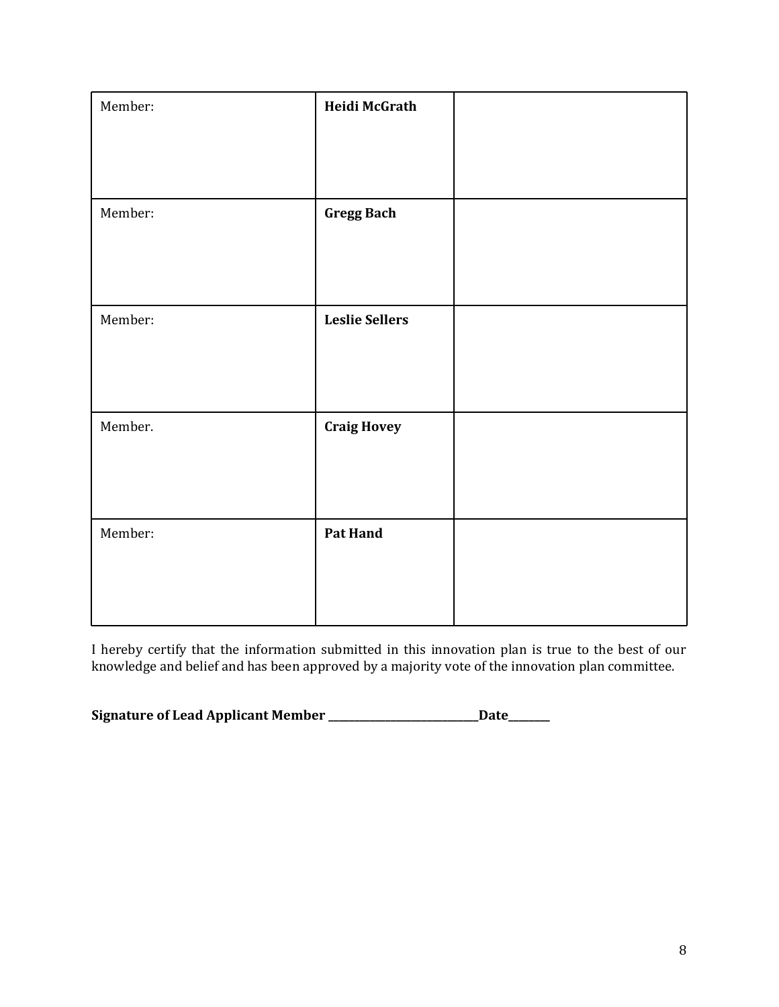| Member: | Heidi McGrath         |  |
|---------|-----------------------|--|
| Member: | <b>Gregg Bach</b>     |  |
| Member: | <b>Leslie Sellers</b> |  |
| Member. | <b>Craig Hovey</b>    |  |
| Member: | Pat Hand              |  |
|         |                       |  |

I hereby certify that the information submitted in this innovation plan is true to the best of our knowledge and belief and has been approved by a majority vote of the innovation plan committee.

**Signature of Lead Applicant Member \_\_\_\_\_\_\_\_\_\_\_\_\_\_\_\_\_\_\_\_\_\_\_\_\_\_\_\_\_Date\_\_\_\_\_\_\_\_**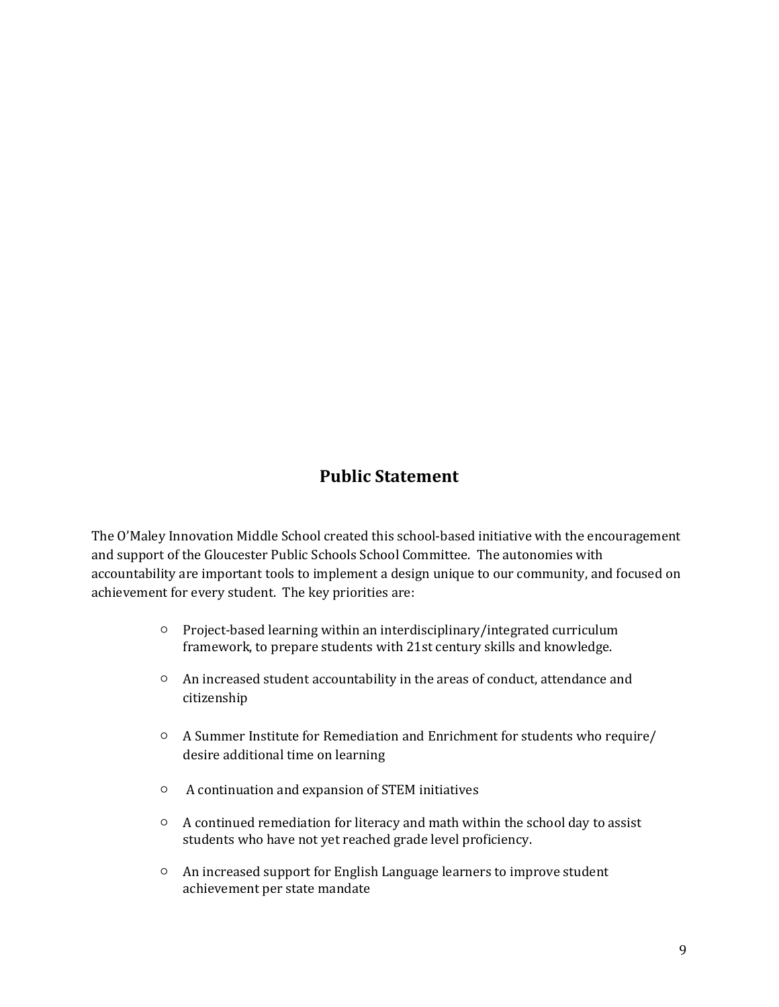## **Public Statement**

The O'Maley Innovation Middle School created this school-based initiative with the encouragement and support of the Gloucester Public Schools School Committee. The autonomies with accountability are important tools to implement a design unique to our community, and focused on achievement for every student. The key priorities are:

- Project-based learning within an interdisciplinary/integrated curriculum framework, to prepare students with 21st century skills and knowledge.
- An increased student accountability in the areas of conduct, attendance and citizenship
- A Summer Institute for Remediation and Enrichment for students who require/ desire additional time on learning
- A continuation and expansion of STEM initiatives
- A continued remediation for literacy and math within the school day to assist students who have not yet reached grade level proficiency.
- An increased support for English Language learners to improve student achievement per state mandate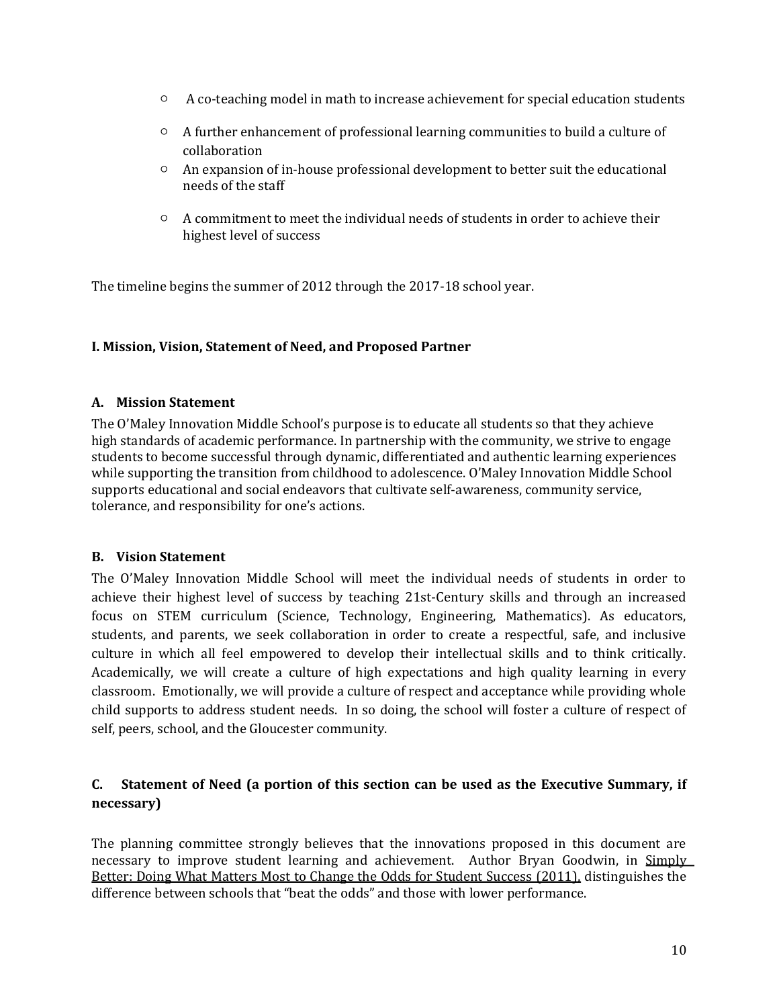- A co-teaching model in math to increase achievement for special education students
- A further enhancement of professional learning communities to build a culture of collaboration
- An expansion of in-house professional development to better suit the educational needs of the staff
- $\circ$  A commitment to meet the individual needs of students in order to achieve their highest level of success

The timeline begins the summer of 2012 through the 2017-18 school year.

## **I. Mission, Vision, Statement of Need, and Proposed Partner**

## **A. Mission Statement**

The O'Maley Innovation Middle School's purpose is to educate all students so that they achieve high standards of academic performance. In partnership with the community, we strive to engage students to become successful through dynamic, differentiated and authentic learning experiences while supporting the transition from childhood to adolescence. O'Maley Innovation Middle School supports educational and social endeavors that cultivate self-awareness, community service, tolerance, and responsibility for one's actions.

## **B. Vision Statement**

The O'Maley Innovation Middle School will meet the individual needs of students in order to achieve their highest level of success by teaching 21st-Century skills and through an increased focus on STEM curriculum (Science, Technology, Engineering, Mathematics). As educators, students, and parents, we seek collaboration in order to create a respectful, safe, and inclusive culture in which all feel empowered to develop their intellectual skills and to think critically. Academically, we will create a culture of high expectations and high quality learning in every classroom. Emotionally, we will provide a culture of respect and acceptance while providing whole child supports to address student needs. In so doing, the school will foster a culture of respect of self, peers, school, and the Gloucester community.

## **C. Statement of Need (a portion of this section can be used as the Executive Summary, if necessary)**

The planning committee strongly believes that the innovations proposed in this document are necessary to improve student learning and achievement. Author Bryan Goodwin, in Simply Better: Doing What Matters Most to Change the Odds for Student Success (2011), distinguishes the difference between schools that "beat the odds" and those with lower performance.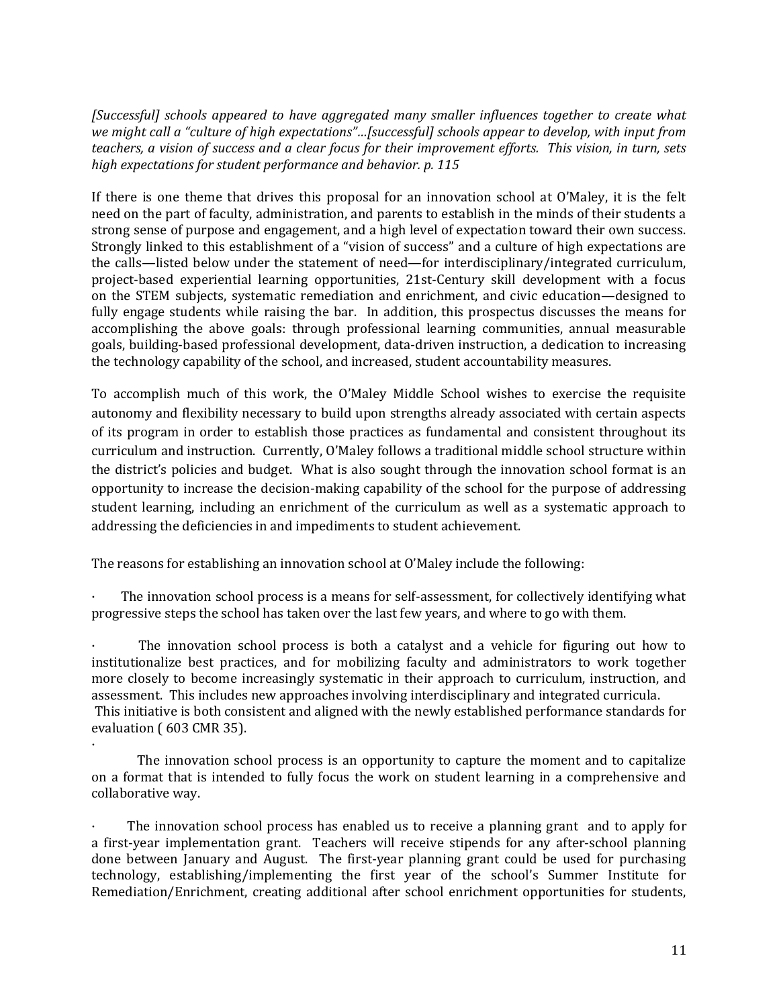*[Successful] schools appeared to have aggregated many smaller influences together to create what we might call a "culture of high expectations"…[successful] schools appear to develop, with input from teachers, a vision of success and a clear focus for their improvement efforts. This vision, in turn, sets high expectations for student performance and behavior. p. 115*

If there is one theme that drives this proposal for an innovation school at O'Maley, it is the felt need on the part of faculty, administration, and parents to establish in the minds of their students a strong sense of purpose and engagement, and a high level of expectation toward their own success. Strongly linked to this establishment of a "vision of success" and a culture of high expectations are the calls—listed below under the statement of need—for interdisciplinary/integrated curriculum, project-based experiential learning opportunities, 21st-Century skill development with a focus on the STEM subjects, systematic remediation and enrichment, and civic education—designed to fully engage students while raising the bar. In addition, this prospectus discusses the means for accomplishing the above goals: through professional learning communities, annual measurable goals, building-based professional development, data-driven instruction, a dedication to increasing the technology capability of the school, and increased, student accountability measures.

To accomplish much of this work, the O'Maley Middle School wishes to exercise the requisite autonomy and flexibility necessary to build upon strengths already associated with certain aspects of its program in order to establish those practices as fundamental and consistent throughout its curriculum and instruction. Currently, O'Maley follows a traditional middle school structure within the district's policies and budget. What is also sought through the innovation school format is an opportunity to increase the decision-making capability of the school for the purpose of addressing student learning, including an enrichment of the curriculum as well as a systematic approach to addressing the deficiencies in and impediments to student achievement.

The reasons for establishing an innovation school at O'Maley include the following:

· The innovation school process is a means for self-assessment, for collectively identifying what progressive steps the school has taken over the last few years, and where to go with them.

The innovation school process is both a catalyst and a vehicle for figuring out how to institutionalize best practices, and for mobilizing faculty and administrators to work together more closely to become increasingly systematic in their approach to curriculum, instruction, and assessment. This includes new approaches involving interdisciplinary and integrated curricula. This initiative is both consistent and aligned with the newly established performance standards for evaluation ( 603 CMR 35).

· The innovation school process is an opportunity to capture the moment and to capitalize on a format that is intended to fully focus the work on student learning in a comprehensive and collaborative way.

· The innovation school process has enabled us to receive a planning grant and to apply for a first-year implementation grant. Teachers will receive stipends for any after-school planning done between January and August. The first-year planning grant could be used for purchasing technology, establishing/implementing the first year of the school's Summer Institute for Remediation/Enrichment, creating additional after school enrichment opportunities for students,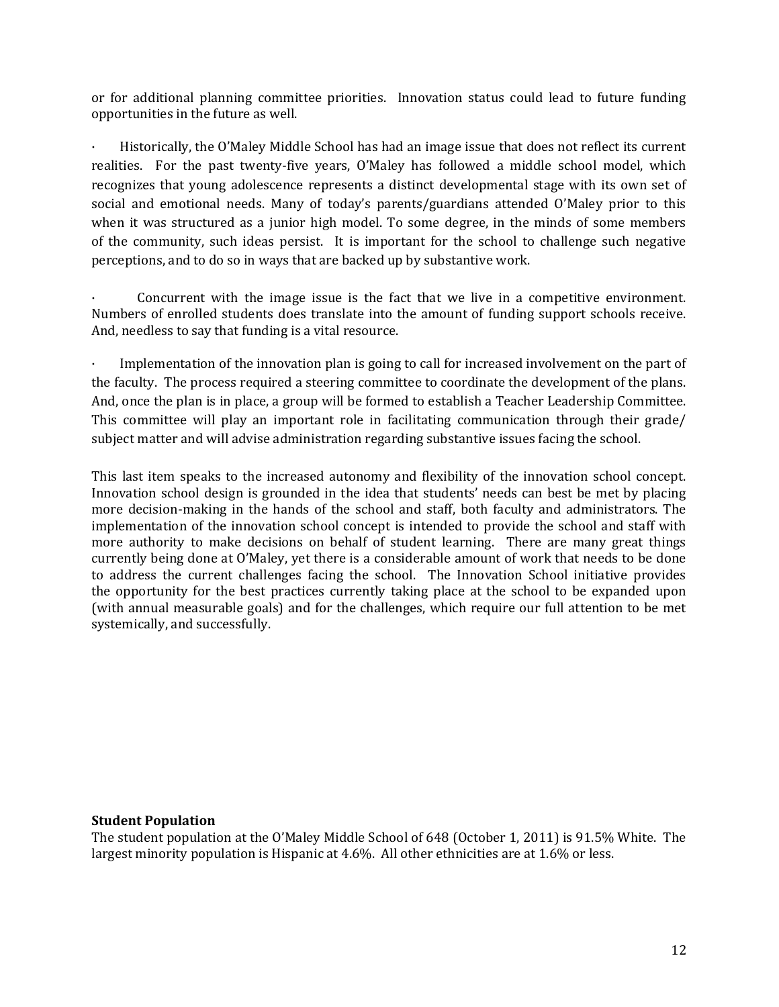or for additional planning committee priorities. Innovation status could lead to future funding opportunities in the future as well.

Historically, the O'Maley Middle School has had an image issue that does not reflect its current realities. For the past twenty-five years, O'Maley has followed a middle school model, which recognizes that young adolescence represents a distinct developmental stage with its own set of social and emotional needs. Many of today's parents/guardians attended O'Maley prior to this when it was structured as a junior high model. To some degree, in the minds of some members of the community, such ideas persist. It is important for the school to challenge such negative perceptions, and to do so in ways that are backed up by substantive work.

Concurrent with the image issue is the fact that we live in a competitive environment. Numbers of enrolled students does translate into the amount of funding support schools receive. And, needless to say that funding is a vital resource.

Implementation of the innovation plan is going to call for increased involvement on the part of the faculty. The process required a steering committee to coordinate the development of the plans. And, once the plan is in place, a group will be formed to establish a Teacher Leadership Committee. This committee will play an important role in facilitating communication through their grade/ subject matter and will advise administration regarding substantive issues facing the school.

This last item speaks to the increased autonomy and flexibility of the innovation school concept. Innovation school design is grounded in the idea that students' needs can best be met by placing more decision-making in the hands of the school and staff, both faculty and administrators. The implementation of the innovation school concept is intended to provide the school and staff with more authority to make decisions on behalf of student learning. There are many great things currently being done at O'Maley, yet there is a considerable amount of work that needs to be done to address the current challenges facing the school. The Innovation School initiative provides the opportunity for the best practices currently taking place at the school to be expanded upon (with annual measurable goals) and for the challenges, which require our full attention to be met systemically, and successfully.

#### **Student Population**

The student population at the O'Maley Middle School of 648 (October 1, 2011) is 91.5% White. The largest minority population is Hispanic at 4.6%. All other ethnicities are at 1.6% or less.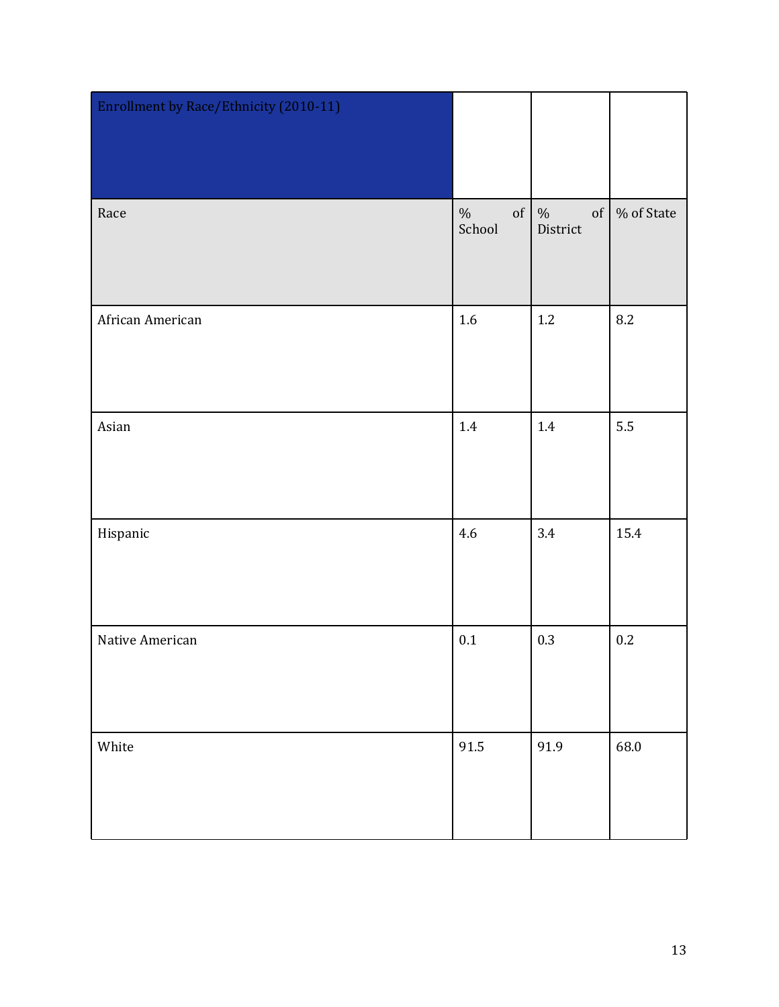| Enrollment by Race/Ethnicity (2010-11) |                      |                        |            |
|----------------------------------------|----------------------|------------------------|------------|
| Race                                   | $\%$<br>of<br>School | $\%$<br>of<br>District | % of State |
| African American                       | $1.6\,$              | $1.2\,$                | 8.2        |
| Asian                                  | $1.4\,$              | 1.4                    | 5.5        |
| Hispanic                               | 4.6                  | 3.4                    | 15.4       |
| Native American                        | $0.1\,$              | 0.3                    | $0.2\,$    |
| White                                  | 91.5                 | 91.9                   | 68.0       |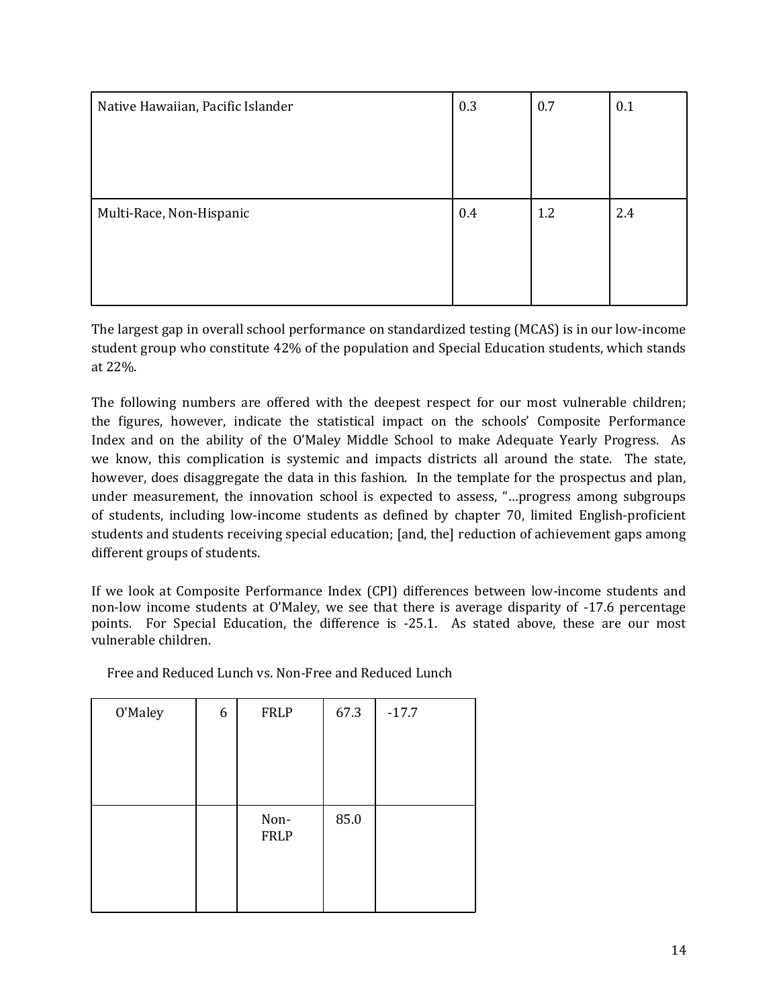| Native Hawaiian, Pacific Islander | 0.3     | 0.7 | 0.1 |
|-----------------------------------|---------|-----|-----|
|                                   |         |     |     |
|                                   |         |     |     |
|                                   |         |     |     |
| Multi-Race, Non-Hispanic          | $0.4\,$ | 1.2 | 2.4 |
|                                   |         |     |     |
|                                   |         |     |     |
|                                   |         |     |     |

The largest gap in overall school performance on standardized testing (MCAS) is in our low-income student group who constitute 42% of the population and Special Education students, which stands at 22%.

The following numbers are offered with the deepest respect for our most vulnerable children; the figures, however, indicate the statistical impact on the schools' Composite Performance Index and on the ability of the O'Maley Middle School to make Adequate Yearly Progress. As we know, this complication is systemic and impacts districts all around the state. The state, however, does disaggregate the data in this fashion. In the template for the prospectus and plan, under measurement, the innovation school is expected to assess, "…progress among subgroups of students, including low-income students as defined by chapter 70, limited English-proficient students and students receiving special education; [and, the] reduction of achievement gaps among different groups of students.

If we look at Composite Performance Index (CPI) differences between low-income students and non-low income students at O'Maley, we see that there is average disparity of -17.6 percentage points. For Special Education, the difference is -25.1. As stated above, these are our most vulnerable children.

| O'Maley | 6 | <b>FRLP</b>         | 67.3 | $-17.7$ |
|---------|---|---------------------|------|---------|
|         |   |                     |      |         |
|         |   |                     |      |         |
|         |   |                     |      |         |
|         |   | Non-<br><b>FRLP</b> | 85.0 |         |
|         |   |                     |      |         |
|         |   |                     |      |         |

Free and Reduced Lunch vs. Non-Free and Reduced Lunch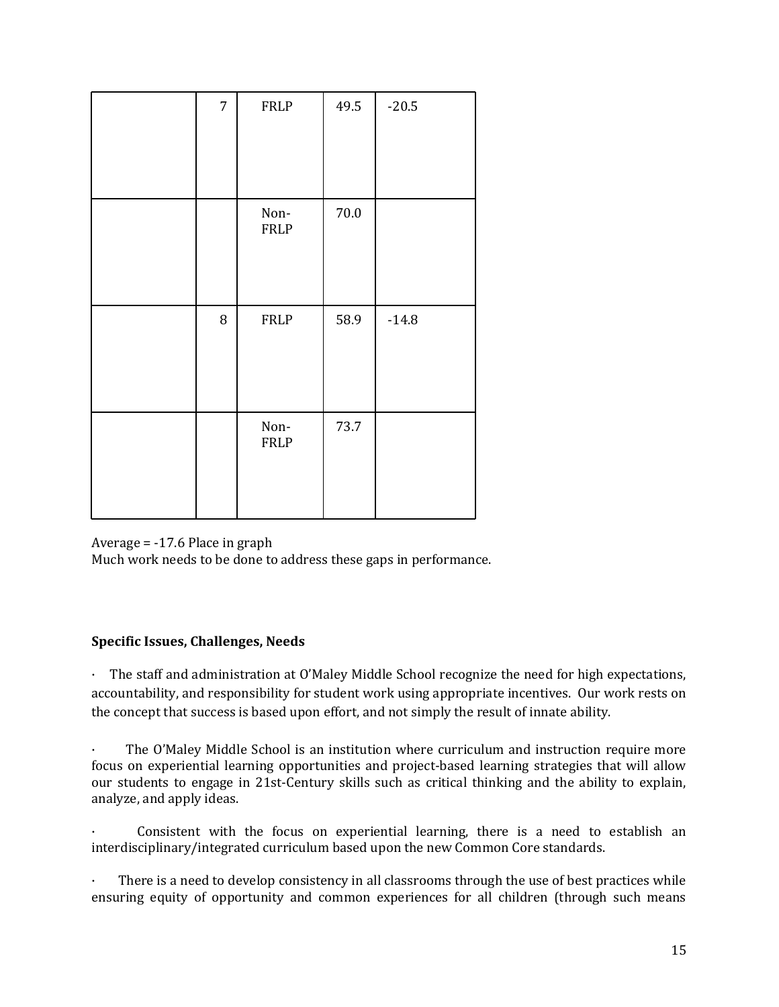| $\overline{7}$ | FRLP                | 49.5     | $-20.5$ |
|----------------|---------------------|----------|---------|
|                | Non-<br><b>FRLP</b> | $70.0\,$ |         |
| $\, 8$         | FRLP                | 58.9     | $-14.8$ |
|                | Non-<br><b>FRLP</b> | 73.7     |         |

Average = -17.6 Place in graph

Much work needs to be done to address these gaps in performance.

## **Specific Issues, Challenges, Needs**

· The staff and administration at O'Maley Middle School recognize the need for high expectations, accountability, and responsibility for student work using appropriate incentives. Our work rests on the concept that success is based upon effort, and not simply the result of innate ability.

· The O'Maley Middle School is an institution where curriculum and instruction require more focus on experiential learning opportunities and project-based learning strategies that will allow our students to engage in 21st-Century skills such as critical thinking and the ability to explain, analyze, and apply ideas.

Consistent with the focus on experiential learning, there is a need to establish an interdisciplinary/integrated curriculum based upon the new Common Core standards.

There is a need to develop consistency in all classrooms through the use of best practices while ensuring equity of opportunity and common experiences for all children (through such means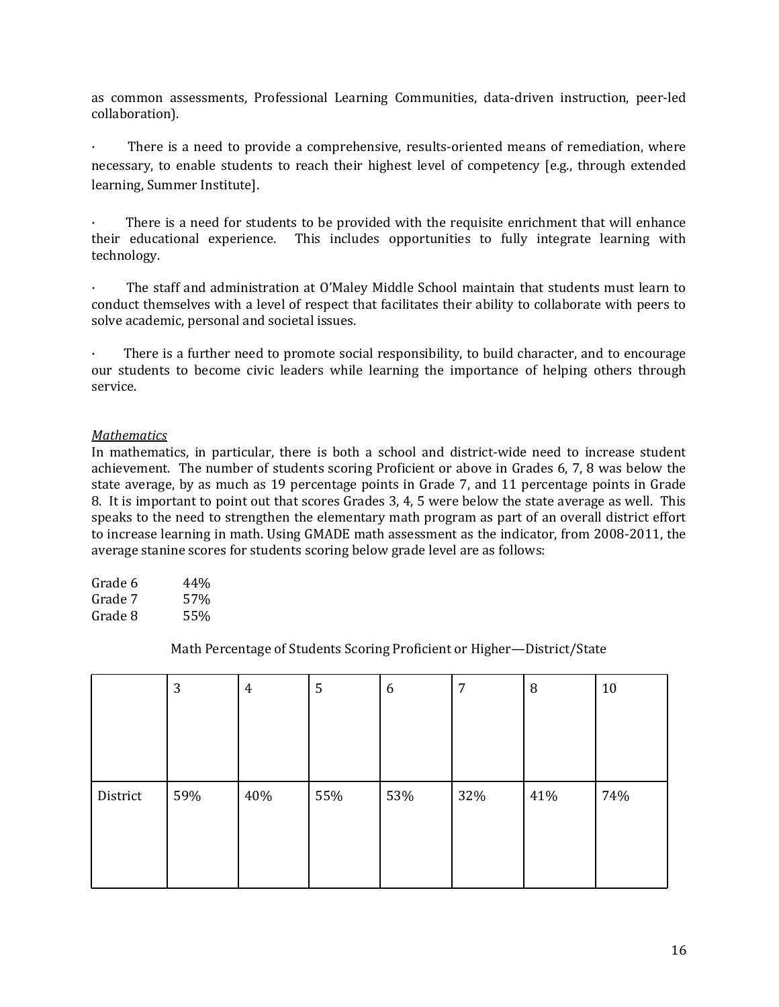as common assessments, Professional Learning Communities, data-driven instruction, peer-led collaboration).

There is a need to provide a comprehensive, results-oriented means of remediation, where necessary, to enable students to reach their highest level of competency [e.g., through extended learning, Summer Institute].

There is a need for students to be provided with the requisite enrichment that will enhance their educational experience. This includes opportunities to fully integrate learning with technology.

· The staff and administration at O'Maley Middle School maintain that students must learn to conduct themselves with a level of respect that facilitates their ability to collaborate with peers to solve academic, personal and societal issues.

There is a further need to promote social responsibility, to build character, and to encourage our students to become civic leaders while learning the importance of helping others through service.

#### *Mathematics*

In mathematics, in particular, there is both a school and district-wide need to increase student achievement. The number of students scoring Proficient or above in Grades 6, 7, 8 was below the state average, by as much as 19 percentage points in Grade 7, and 11 percentage points in Grade 8. It is important to point out that scores Grades 3, 4, 5 were below the state average as well. This speaks to the need to strengthen the elementary math program as part of an overall district effort to increase learning in math. Using GMADE math assessment as the indicator, from 2008-2011, the average stanine scores for students scoring below grade level are as follows:

| Grade 6 | 44% |
|---------|-----|
| Grade 7 | 57% |
| Grade 8 | 55% |

Math Percentage of Students Scoring Proficient or Higher—District/State

|          | 3   | $\overline{4}$ | 5   | 6   | 7   | 8   | 10  |
|----------|-----|----------------|-----|-----|-----|-----|-----|
|          |     |                |     |     |     |     |     |
|          |     |                |     |     |     |     |     |
|          |     |                |     |     |     |     |     |
| District | 59% | 40%            | 55% | 53% | 32% | 41% | 74% |
|          |     |                |     |     |     |     |     |
|          |     |                |     |     |     |     |     |
|          |     |                |     |     |     |     |     |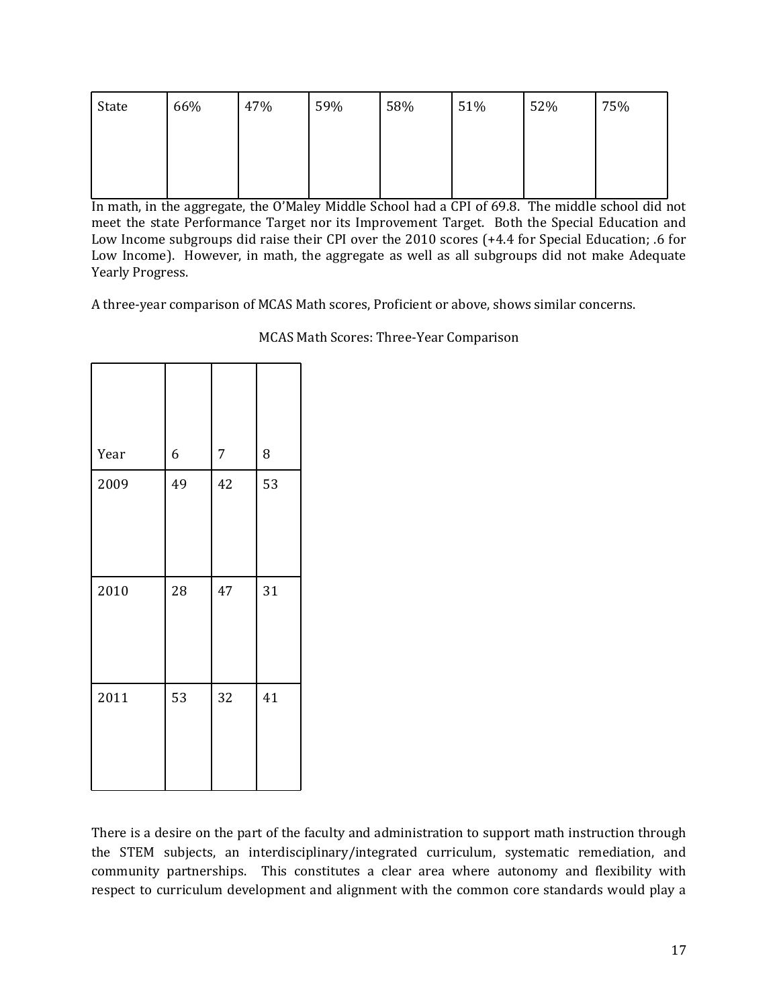| State | 66% | 47% | 59% | 58% | 51% | 52% | 75% |
|-------|-----|-----|-----|-----|-----|-----|-----|
|       |     |     |     |     |     |     |     |
|       |     |     |     |     |     |     |     |

In math, in the aggregate, the O'Maley Middle School had a CPI of 69.8. The middle school did not meet the state Performance Target nor its Improvement Target. Both the Special Education and Low Income subgroups did raise their CPI over the 2010 scores (+4.4 for Special Education; .6 for Low Income). However, in math, the aggregate as well as all subgroups did not make Adequate Yearly Progress.

A three-year comparison of MCAS Math scores, Proficient or above, shows similar concerns.

| Year | 6  | 7  | 8  |
|------|----|----|----|
| 2009 | 49 | 42 | 53 |
| 2010 | 28 | 47 | 31 |
| 2011 | 53 | 32 | 41 |

MCAS Math Scores: Three-Year Comparison

There is a desire on the part of the faculty and administration to support math instruction through the STEM subjects, an interdisciplinary/integrated curriculum, systematic remediation, and community partnerships. This constitutes a clear area where autonomy and flexibility with respect to curriculum development and alignment with the common core standards would play a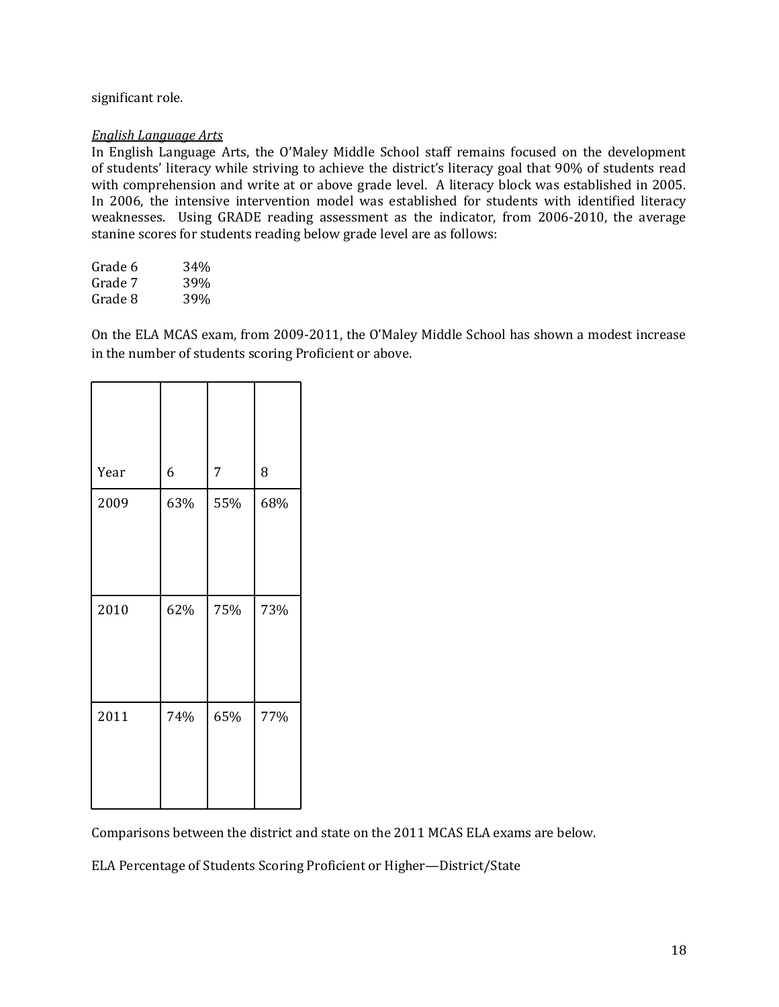## significant role.

#### *English Language Arts*

In English Language Arts, the O'Maley Middle School staff remains focused on the development of students' literacy while striving to achieve the district's literacy goal that 90% of students read with comprehension and write at or above grade level. A literacy block was established in 2005. In 2006, the intensive intervention model was established for students with identified literacy weaknesses. Using GRADE reading assessment as the indicator, from 2006-2010, the average stanine scores for students reading below grade level are as follows:

| Grade 6 | 34% |
|---------|-----|
| Grade 7 | 39% |
| Grade 8 | 39% |

On the ELA MCAS exam, from 2009-2011, the O'Maley Middle School has shown a modest increase in the number of students scoring Proficient or above.

| Year | 6   | 7   | 8   |
|------|-----|-----|-----|
| 2009 | 63% | 55% | 68% |
| 2010 | 62% | 75% | 73% |
| 2011 | 74% | 65% | 77% |

Comparisons between the district and state on the 2011 MCAS ELA exams are below.

ELA Percentage of Students Scoring Proficient or Higher—District/State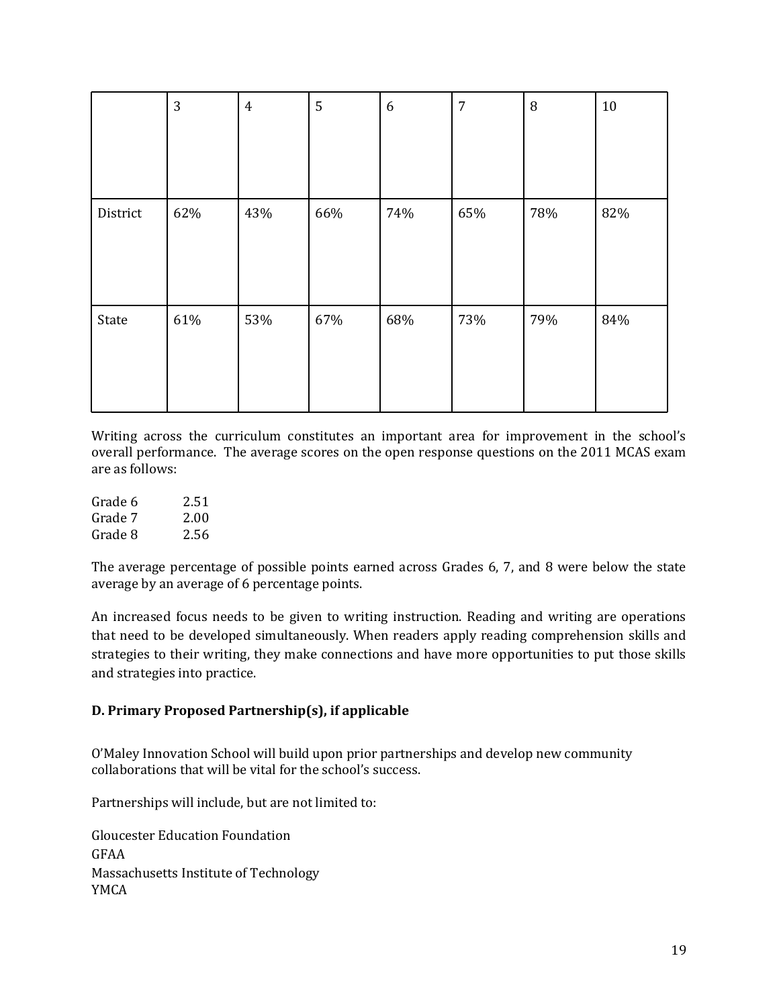|          | 3   | $\overline{4}$ | 5   | 6   | $\overline{7}$ | $\, 8$ | $10\,$ |
|----------|-----|----------------|-----|-----|----------------|--------|--------|
|          |     |                |     |     |                |        |        |
|          |     |                |     |     |                |        |        |
| District | 62% | 43%            | 66% | 74% | 65%            | 78%    | 82%    |
|          |     |                |     |     |                |        |        |
|          |     |                |     |     |                |        |        |
| State    | 61% | 53%            | 67% | 68% | 73%            | 79%    | 84%    |
|          |     |                |     |     |                |        |        |
|          |     |                |     |     |                |        |        |

Writing across the curriculum constitutes an important area for improvement in the school's overall performance. The average scores on the open response questions on the 2011 MCAS exam are as follows:

| Grade 6 | 2.51 |
|---------|------|
| Grade 7 | 2.00 |
| Grade 8 | 2.56 |

The average percentage of possible points earned across Grades 6, 7, and 8 were below the state average by an average of 6 percentage points.

An increased focus needs to be given to writing instruction. Reading and writing are operations that need to be developed simultaneously. When readers apply reading comprehension skills and strategies to their writing, they make connections and have more opportunities to put those skills and strategies into practice.

## **D. Primary Proposed Partnership(s), if applicable**

O'Maley Innovation School will build upon prior partnerships and develop new community collaborations that will be vital for the school's success.

Partnerships will include, but are not limited to:

Gloucester Education Foundation GFAA Massachusetts Institute of Technology YMCA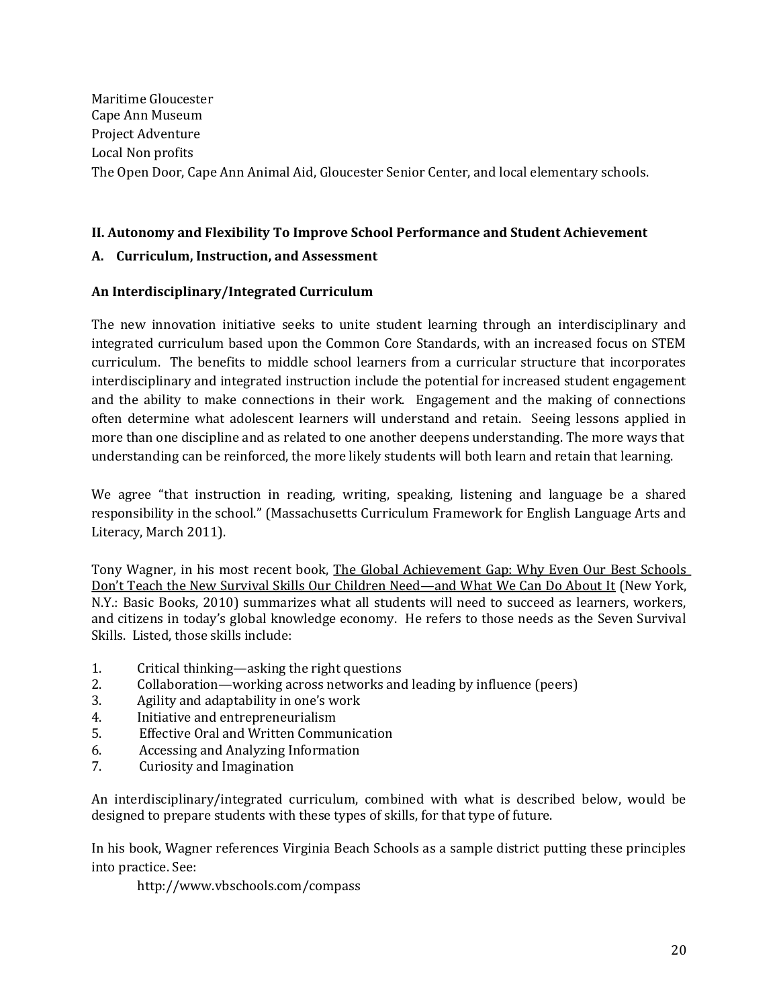## **II. Autonomy and Flexibility To Improve School Performance and Student Achievement**

## **A. Curriculum, Instruction, and Assessment**

## **An Interdisciplinary/Integrated Curriculum**

The new innovation initiative seeks to unite student learning through an interdisciplinary and integrated curriculum based upon the Common Core Standards, with an increased focus on STEM curriculum. The benefits to middle school learners from a curricular structure that incorporates interdisciplinary and integrated instruction include the potential for increased student engagement and the ability to make connections in their work. Engagement and the making of connections often determine what adolescent learners will understand and retain. Seeing lessons applied in more than one discipline and as related to one another deepens understanding. The more ways that understanding can be reinforced, the more likely students will both learn and retain that learning.

We agree "that instruction in reading, writing, speaking, listening and language be a shared responsibility in the school." (Massachusetts Curriculum Framework for English Language Arts and Literacy, March 2011).

Tony Wagner, in his most recent book, The Global Achievement Gap: Why Even Our Best Schools Don't Teach the New Survival Skills Our Children Need—and What We Can Do About It (New York, N.Y.: Basic Books, 2010) summarizes what all students will need to succeed as learners, workers, and citizens in today's global knowledge economy. He refers to those needs as the Seven Survival Skills. Listed, those skills include:

- 1. Critical thinking—asking the right questions
- 2. Collaboration—working across networks and leading by influence (peers)
- 3. Agility and adaptability in one's work
- 4. Initiative and entrepreneurialism
- 5. Effective Oral and Written Communication
- 6. Accessing and Analyzing Information
- 7. Curiosity and Imagination

An interdisciplinary/integrated curriculum, combined with what is described below, would be designed to prepare students with these types of skills, for that type of future.

In his book, Wagner references Virginia Beach Schools as a sample district putting these principles into practice. See:

http://www.vbschools.com/compass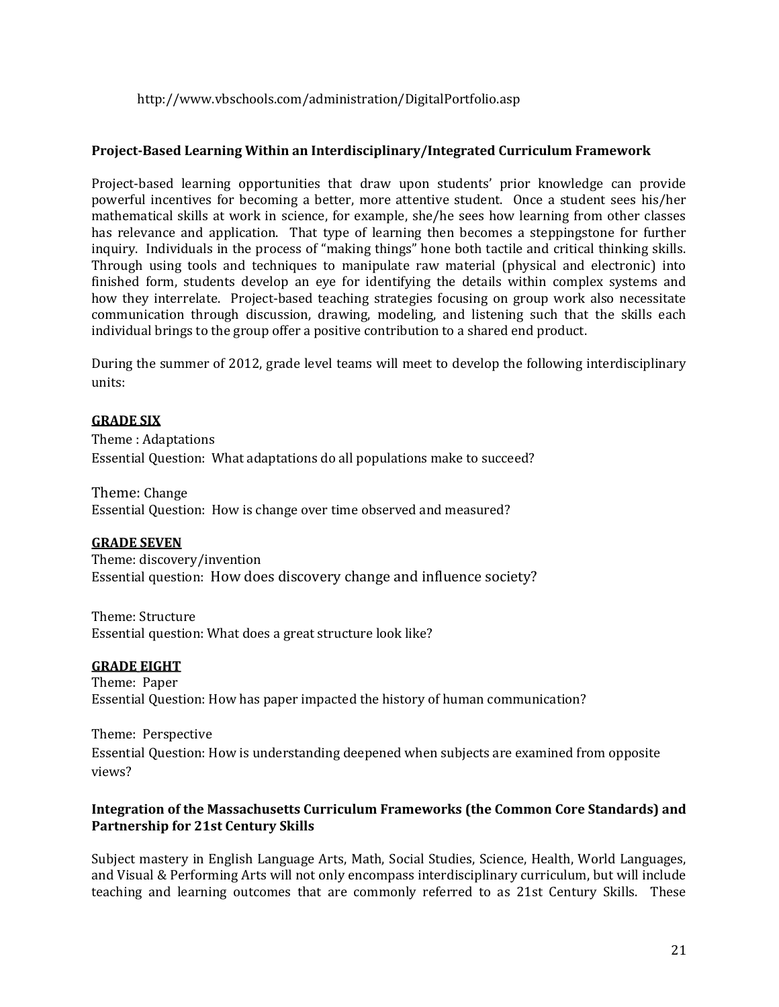## http://www.vbschools.com/administration/DigitalPortfolio.asp

### **Project-Based Learning Within an Interdisciplinary/Integrated Curriculum Framework**

Project-based learning opportunities that draw upon students' prior knowledge can provide powerful incentives for becoming a better, more attentive student. Once a student sees his/her mathematical skills at work in science, for example, she/he sees how learning from other classes has relevance and application. That type of learning then becomes a steppingstone for further inquiry. Individuals in the process of "making things" hone both tactile and critical thinking skills. Through using tools and techniques to manipulate raw material (physical and electronic) into finished form, students develop an eye for identifying the details within complex systems and how they interrelate. Project-based teaching strategies focusing on group work also necessitate communication through discussion, drawing, modeling, and listening such that the skills each individual brings to the group offer a positive contribution to a shared end product.

During the summer of 2012, grade level teams will meet to develop the following interdisciplinary units:

#### **GRADE SIX**

Theme : Adaptations Essential Question: What adaptations do all populations make to succeed?

Theme: Change Essential Question: How is change over time observed and measured?

#### **GRADE SEVEN**

Theme: discovery/invention Essential question: How does discovery change and influence society?

Theme: Structure Essential question: What does a great structure look like?

#### **GRADE EIGHT**

Theme: Paper Essential Question: How has paper impacted the history of human communication?

Theme: Perspective Essential Question: How is understanding deepened when subjects are examined from opposite views?

#### **Integration of the Massachusetts Curriculum Frameworks (the Common Core Standards) and Partnership for 21st Century Skills**

Subject mastery in English Language Arts, Math, Social Studies, Science, Health, World Languages, and Visual & Performing Arts will not only encompass interdisciplinary curriculum, but will include teaching and learning outcomes that are commonly referred to as 21st Century Skills. These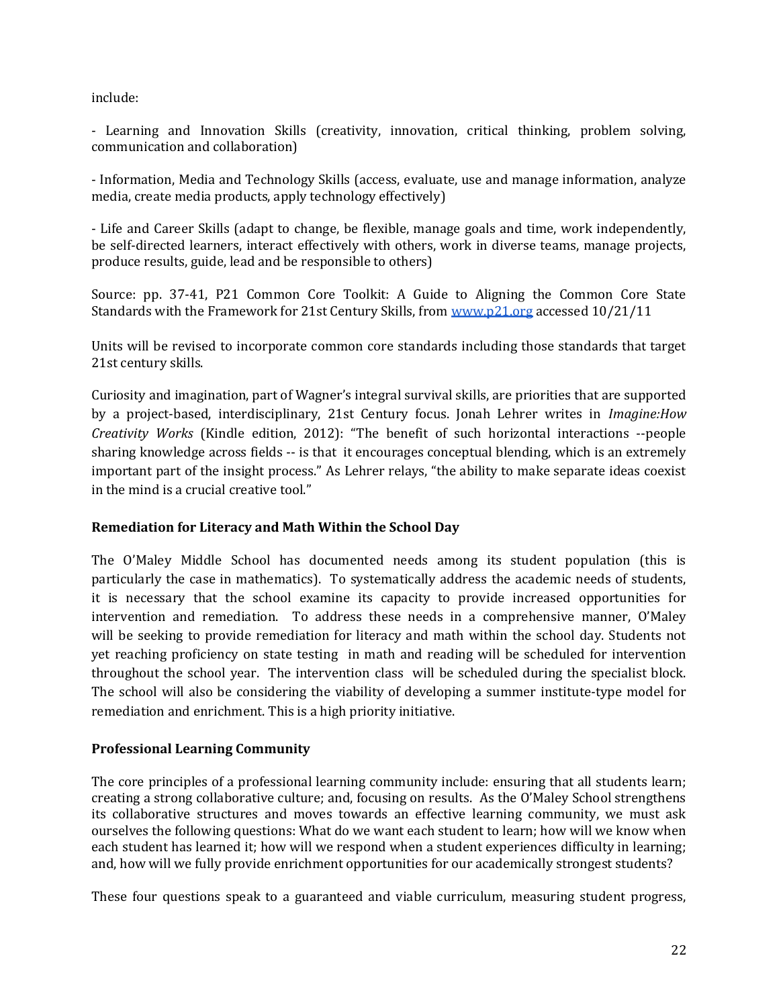include:

- Learning and Innovation Skills (creativity, innovation, critical thinking, problem solving, communication and collaboration)

- Information, Media and Technology Skills (access, evaluate, use and manage information, analyze media, create media products, apply technology effectively)

- Life and Career Skills (adapt to change, be flexible, manage goals and time, work independently, be self-directed learners, interact effectively with others, work in diverse teams, manage projects, produce results, guide, lead and be responsible to others)

Source: pp. 37-41, P21 Common Core Toolkit: A Guide to Aligning the Common Core State Standards with the Framework for 21st Century Skills, fro[m](http://www.p21.org) [www.p21.org](http://www.p21.org) accessed 10/21/11

Units will be revised to incorporate common core standards including those standards that target 21st century skills.

Curiosity and imagination, part of Wagner's integral survival skills, are priorities that are supported by a project-based, interdisciplinary, 21st Century focus. Jonah Lehrer writes in *Imagine:How Creativity Works* (Kindle edition, 2012): "The benefit of such horizontal interactions --people sharing knowledge across fields -- is that it encourages conceptual blending, which is an extremely important part of the insight process." As Lehrer relays, "the ability to make separate ideas coexist in the mind is a crucial creative tool."

## **Remediation for Literacy and Math Within the School Day**

The O'Maley Middle School has documented needs among its student population (this is particularly the case in mathematics). To systematically address the academic needs of students, it is necessary that the school examine its capacity to provide increased opportunities for intervention and remediation. To address these needs in a comprehensive manner, O'Maley will be seeking to provide remediation for literacy and math within the school day. Students not yet reaching proficiency on state testing in math and reading will be scheduled for intervention throughout the school year. The intervention class will be scheduled during the specialist block. The school will also be considering the viability of developing a summer institute-type model for remediation and enrichment. This is a high priority initiative.

## **Professional Learning Community**

The core principles of a professional learning community include: ensuring that all students learn; creating a strong collaborative culture; and, focusing on results. As the O'Maley School strengthens its collaborative structures and moves towards an effective learning community, we must ask ourselves the following questions: What do we want each student to learn; how will we know when each student has learned it; how will we respond when a student experiences difficulty in learning; and, how will we fully provide enrichment opportunities for our academically strongest students?

These four questions speak to a guaranteed and viable curriculum, measuring student progress,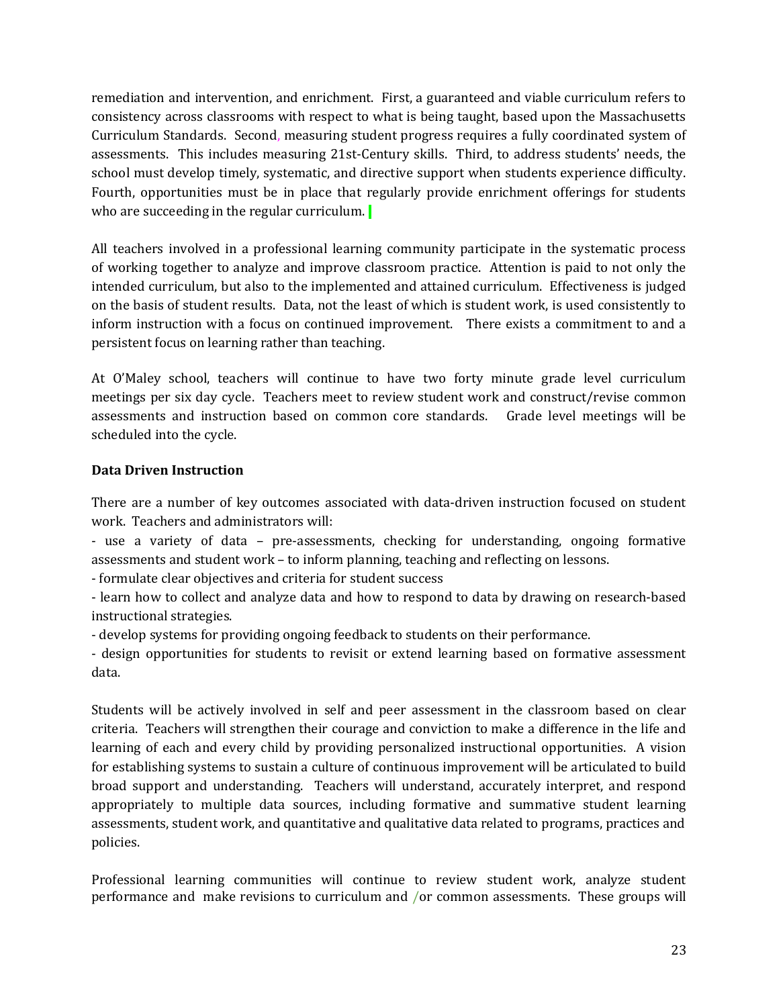remediation and intervention, and enrichment. First, a guaranteed and viable curriculum refers to consistency across classrooms with respect to what is being taught, based upon the Massachusetts Curriculum Standards. Second, measuring student progress requires a fully coordinated system of assessments. This includes measuring 21st-Century skills. Third, to address students' needs, the school must develop timely, systematic, and directive support when students experience difficulty. Fourth, opportunities must be in place that regularly provide enrichment offerings for students who are succeeding in the regular curriculum.

All teachers involved in a professional learning community participate in the systematic process of working together to analyze and improve classroom practice. Attention is paid to not only the intended curriculum, but also to the implemented and attained curriculum. Effectiveness is judged on the basis of student results. Data, not the least of which is student work, is used consistently to inform instruction with a focus on continued improvement. There exists a commitment to and a persistent focus on learning rather than teaching.

At O'Maley school, teachers will continue to have two forty minute grade level curriculum meetings per six day cycle. Teachers meet to review student work and construct/revise common assessments and instruction based on common core standards. Grade level meetings will be scheduled into the cycle.

## **Data Driven Instruction**

There are a number of key outcomes associated with data-driven instruction focused on student work. Teachers and administrators will:

- use a variety of data – pre-assessments, checking for understanding, ongoing formative assessments and student work – to inform planning, teaching and reflecting on lessons.

- formulate clear objectives and criteria for student success

- learn how to collect and analyze data and how to respond to data by drawing on research-based instructional strategies.

- develop systems for providing ongoing feedback to students on their performance.

- design opportunities for students to revisit or extend learning based on formative assessment data.

Students will be actively involved in self and peer assessment in the classroom based on clear criteria. Teachers will strengthen their courage and conviction to make a difference in the life and learning of each and every child by providing personalized instructional opportunities. A vision for establishing systems to sustain a culture of continuous improvement will be articulated to build broad support and understanding. Teachers will understand, accurately interpret, and respond appropriately to multiple data sources, including formative and summative student learning assessments, student work, and quantitative and qualitative data related to programs, practices and policies.

Professional learning communities will continue to review student work, analyze student performance and make revisions to curriculum and /or common assessments. These groups will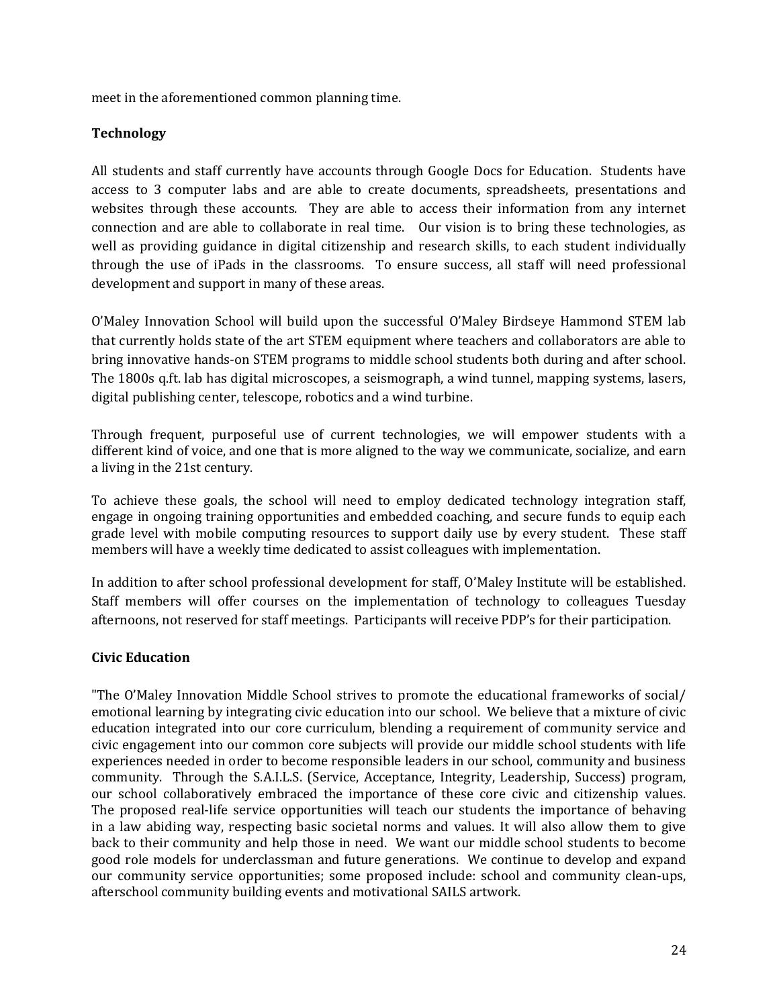meet in the aforementioned common planning time.

## **Technology**

All students and staff currently have accounts through Google Docs for Education. Students have access to 3 computer labs and are able to create documents, spreadsheets, presentations and websites through these accounts. They are able to access their information from any internet connection and are able to collaborate in real time. Our vision is to bring these technologies, as well as providing guidance in digital citizenship and research skills, to each student individually through the use of iPads in the classrooms. To ensure success, all staff will need professional development and support in many of these areas.

O'Maley Innovation School will build upon the successful O'Maley Birdseye Hammond STEM lab that currently holds state of the art STEM equipment where teachers and collaborators are able to bring innovative hands-on STEM programs to middle school students both during and after school. The 1800s q.ft. lab has digital microscopes, a seismograph, a wind tunnel, mapping systems, lasers, digital publishing center, telescope, robotics and a wind turbine.

Through frequent, purposeful use of current technologies, we will empower students with a different kind of voice, and one that is more aligned to the way we communicate, socialize, and earn a living in the 21st century.

To achieve these goals, the school will need to employ dedicated technology integration staff, engage in ongoing training opportunities and embedded coaching, and secure funds to equip each grade level with mobile computing resources to support daily use by every student. These staff members will have a weekly time dedicated to assist colleagues with implementation.

In addition to after school professional development for staff, O'Maley Institute will be established. Staff members will offer courses on the implementation of technology to colleagues Tuesday afternoons, not reserved for staff meetings. Participants will receive PDP's for their participation.

## **Civic Education**

"The O'Maley Innovation Middle School strives to promote the educational frameworks of social/ emotional learning by integrating civic education into our school. We believe that a mixture of civic education integrated into our core curriculum, blending a requirement of community service and civic engagement into our common core subjects will provide our middle school students with life experiences needed in order to become responsible leaders in our school, community and business community. Through the S.A.I.L.S. (Service, Acceptance, Integrity, Leadership, Success) program, our school collaboratively embraced the importance of these core civic and citizenship values. The proposed real-life service opportunities will teach our students the importance of behaving in a law abiding way, respecting basic societal norms and values. It will also allow them to give back to their community and help those in need. We want our middle school students to become good role models for underclassman and future generations. We continue to develop and expand our community service opportunities; some proposed include: school and community clean-ups, afterschool community building events and motivational SAILS artwork.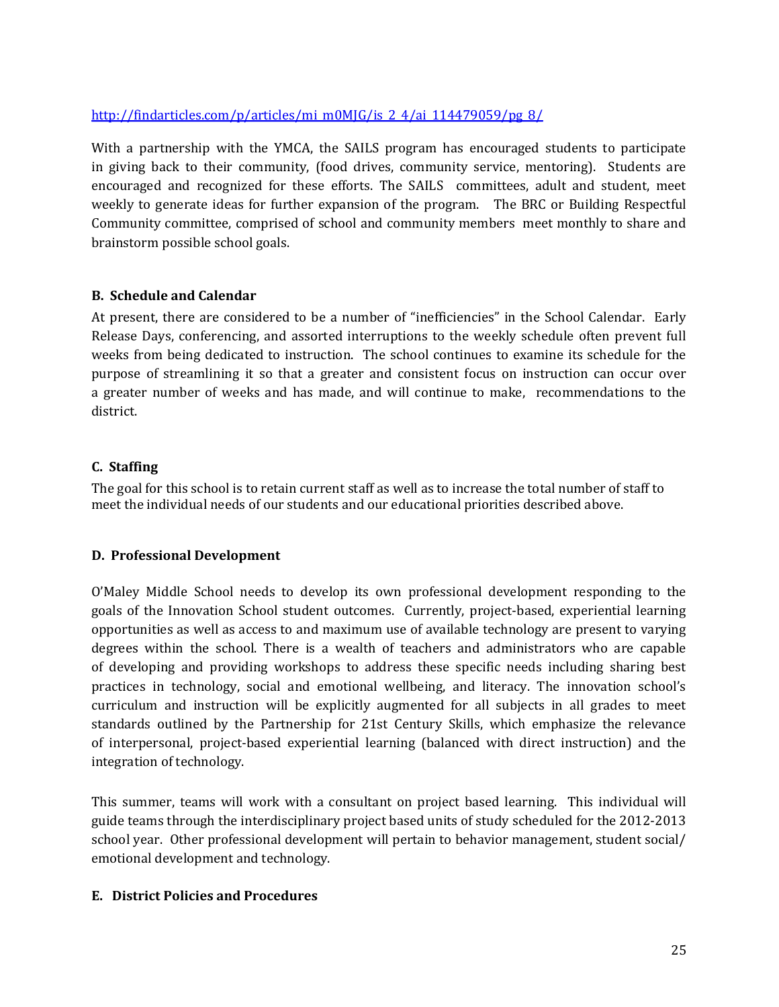## [http://findarticles.com/p/articles/mi\\_m0MJG/is\\_2\\_4/ai\\_114479059/pg\\_8/](http://findarticles.com/p/articles/mi_m0MJG/is_2_4/ai_114479059/pg_8/)

With a partnership with the YMCA, the SAILS program has encouraged students to participate in giving back to their community, (food drives, community service, mentoring). Students are encouraged and recognized for these efforts. The SAILS committees, adult and student, meet weekly to generate ideas for further expansion of the program. The BRC or Building Respectful Community committee, comprised of school and community members meet monthly to share and brainstorm possible school goals.

## **B. Schedule and Calendar**

At present, there are considered to be a number of "inefficiencies" in the School Calendar. Early Release Days, conferencing, and assorted interruptions to the weekly schedule often prevent full weeks from being dedicated to instruction. The school continues to examine its schedule for the purpose of streamlining it so that a greater and consistent focus on instruction can occur over a greater number of weeks and has made, and will continue to make, recommendations to the district.

## **C. Staffing**

The goal for this school is to retain current staff as well as to increase the total number of staff to meet the individual needs of our students and our educational priorities described above.

## **D. Professional Development**

O'Maley Middle School needs to develop its own professional development responding to the goals of the Innovation School student outcomes. Currently, project-based, experiential learning opportunities as well as access to and maximum use of available technology are present to varying degrees within the school. There is a wealth of teachers and administrators who are capable of developing and providing workshops to address these specific needs including sharing best practices in technology, social and emotional wellbeing, and literacy. The innovation school's curriculum and instruction will be explicitly augmented for all subjects in all grades to meet standards outlined by the Partnership for 21st Century Skills, which emphasize the relevance of interpersonal, project-based experiential learning (balanced with direct instruction) and the integration of technology.

This summer, teams will work with a consultant on project based learning. This individual will guide teams through the interdisciplinary project based units of study scheduled for the 2012-2013 school year. Other professional development will pertain to behavior management, student social/ emotional development and technology.

## **E. District Policies and Procedures**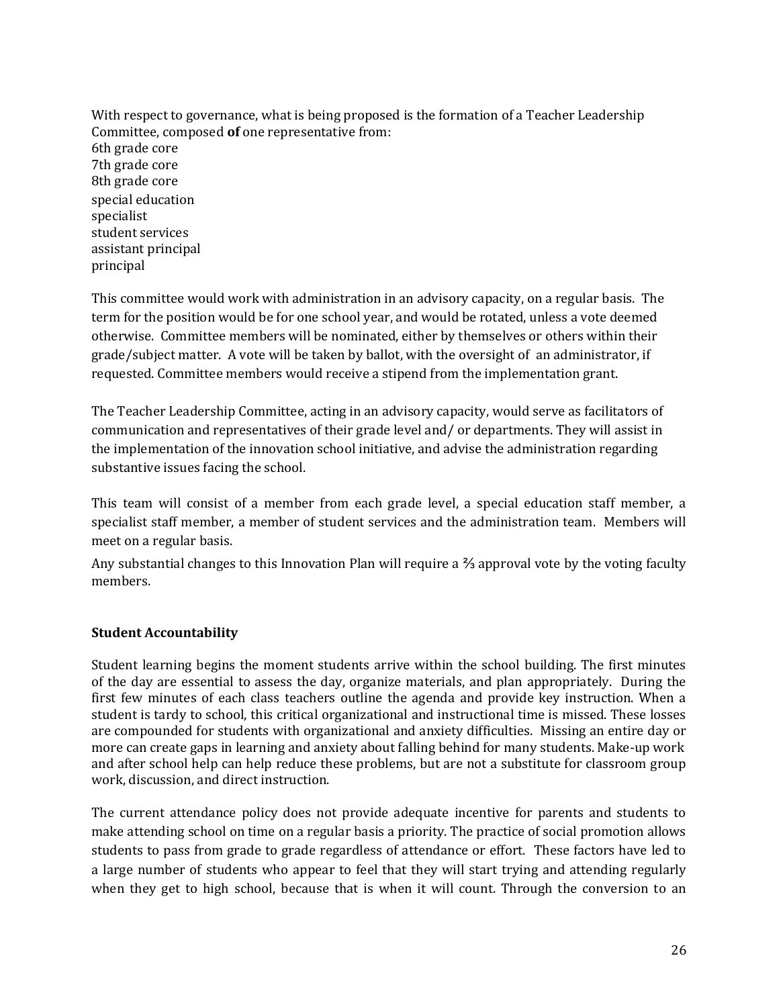With respect to governance, what is being proposed is the formation of a Teacher Leadership Committee, composed **of** one representative from: 6th grade core 7th grade core 8th grade core special education specialist student services assistant principal principal

This committee would work with administration in an advisory capacity, on a regular basis. The term for the position would be for one school year, and would be rotated, unless a vote deemed otherwise. Committee members will be nominated, either by themselves or others within their grade/subject matter. A vote will be taken by ballot, with the oversight of an administrator, if requested. Committee members would receive a stipend from the implementation grant.

The Teacher Leadership Committee, acting in an advisory capacity, would serve as facilitators of communication and representatives of their grade level and/ or departments. They will assist in the implementation of the innovation school initiative, and advise the administration regarding substantive issues facing the school.

This team will consist of a member from each grade level, a special education staff member, a specialist staff member, a member of student services and the administration team. Members will meet on a regular basis.

Any substantial changes to this Innovation Plan will require a ⅔ approval vote by the voting faculty members.

## **Student Accountability**

Student learning begins the moment students arrive within the school building. The first minutes of the day are essential to assess the day, organize materials, and plan appropriately. During the first few minutes of each class teachers outline the agenda and provide key instruction. When a student is tardy to school, this critical organizational and instructional time is missed. These losses are compounded for students with organizational and anxiety difficulties. Missing an entire day or more can create gaps in learning and anxiety about falling behind for many students. Make-up work and after school help can help reduce these problems, but are not a substitute for classroom group work, discussion, and direct instruction.

The current attendance policy does not provide adequate incentive for parents and students to make attending school on time on a regular basis a priority. The practice of social promotion allows students to pass from grade to grade regardless of attendance or effort. These factors have led to a large number of students who appear to feel that they will start trying and attending regularly when they get to high school, because that is when it will count. Through the conversion to an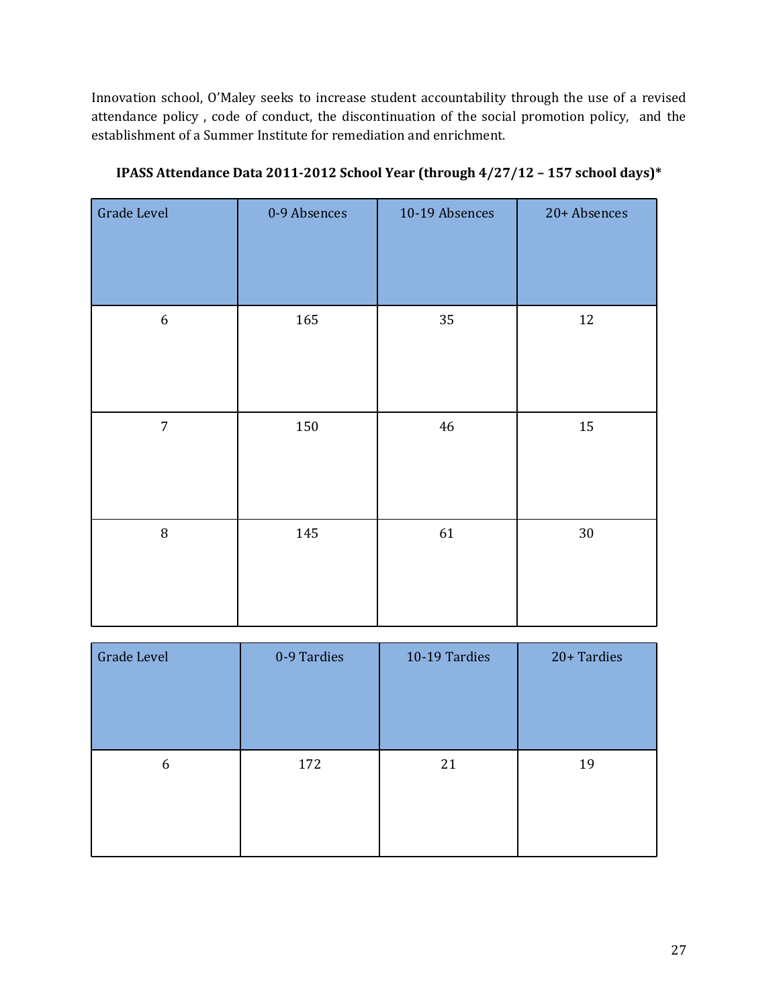Innovation school, O'Maley seeks to increase student accountability through the use of a revised attendance policy , code of conduct, the discontinuation of the social promotion policy, and the establishment of a Summer Institute for remediation and enrichment.

| Grade Level      | 0-9 Absences | 10-19 Absences | 20+ Absences |
|------------------|--------------|----------------|--------------|
| $\boldsymbol{6}$ | 165          | 35             | 12           |
| $\overline{7}$   | 150          | 46             | 15           |
| $\, 8$           | 145          | 61             | 30           |

**IPASS Attendance Data 2011-2012 School Year (through 4/27/12 – 157 school days)\***

| <b>Grade Level</b> | 0-9 Tardies | 10-19 Tardies | 20+ Tardies |
|--------------------|-------------|---------------|-------------|
| 6                  | 172         | 21            | 19          |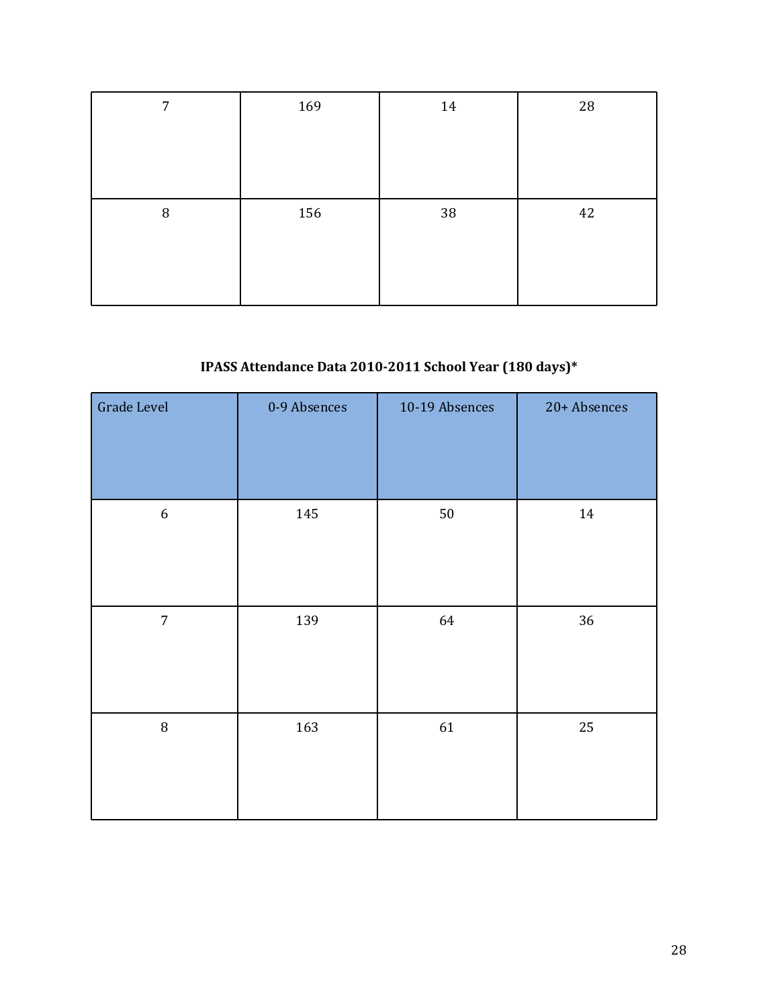| 7 | 169 | 14 | 28 |
|---|-----|----|----|
|   |     |    |    |
|   |     |    |    |
|   |     |    |    |
| 8 | 156 | 38 | 42 |
|   |     |    |    |
|   |     |    |    |
|   |     |    |    |

## **IPASS Attendance Data 2010-2011 School Year (180 days)\***

| Grade Level      | 0-9 Absences | 10-19 Absences | 20+ Absences |
|------------------|--------------|----------------|--------------|
| $\boldsymbol{6}$ | 145          | 50             | 14           |
| $\overline{7}$   | 139          | 64             | 36           |
| $\, 8$           | 163          | 61             | 25           |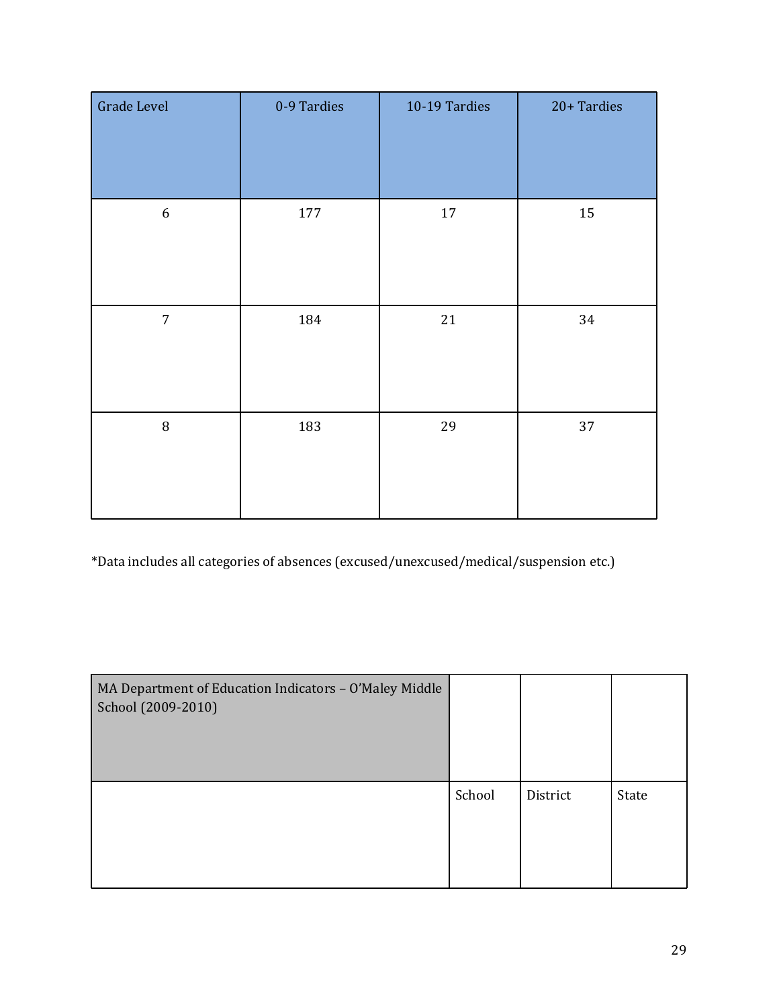| Grade Level      | 0-9 Tardies | 10-19 Tardies | 20+ Tardies |
|------------------|-------------|---------------|-------------|
| $\boldsymbol{6}$ | 177         | $17\,$        | 15          |
| $\overline{7}$   | 184         | 21            | 34          |
| $\, 8$           | 183         | 29            | 37          |

\*Data includes all categories of absences (excused/unexcused/medical/suspension etc.)

| MA Department of Education Indicators - O'Maley Middle<br>School (2009-2010) |        |          |       |
|------------------------------------------------------------------------------|--------|----------|-------|
|                                                                              | School | District | State |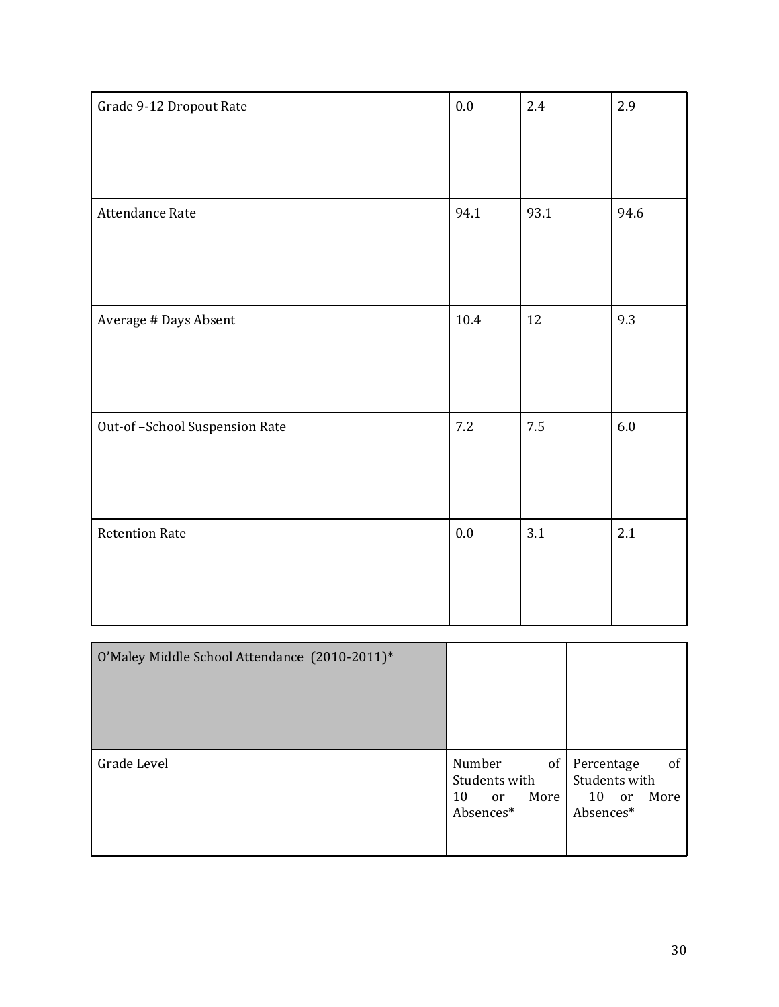| Grade 9-12 Dropout Rate       | $0.0\,$ | 2.4     | 2.9     |
|-------------------------------|---------|---------|---------|
|                               |         |         |         |
|                               |         |         |         |
| Attendance Rate               | 94.1    | 93.1    | 94.6    |
|                               |         |         |         |
|                               |         |         |         |
| Average # Days Absent         | 10.4    | 12      | 9.3     |
|                               |         |         |         |
|                               |         |         |         |
| Out-of-School Suspension Rate | $7.2\,$ | $7.5\,$ | $6.0\,$ |
|                               |         |         |         |
|                               |         |         |         |
| <b>Retention Rate</b>         | $0.0\,$ | 3.1     | 2.1     |
|                               |         |         |         |
|                               |         |         |         |

| O'Maley Middle School Attendance (2010-2011)* |                                                                             |                                                                   |
|-----------------------------------------------|-----------------------------------------------------------------------------|-------------------------------------------------------------------|
| Grade Level                                   | Number<br>of<br>Students with<br>More  <br>10<br><sub>or</sub><br>Absences* | of<br>Percentage<br>Students with<br>$10$ or<br>More<br>Absences* |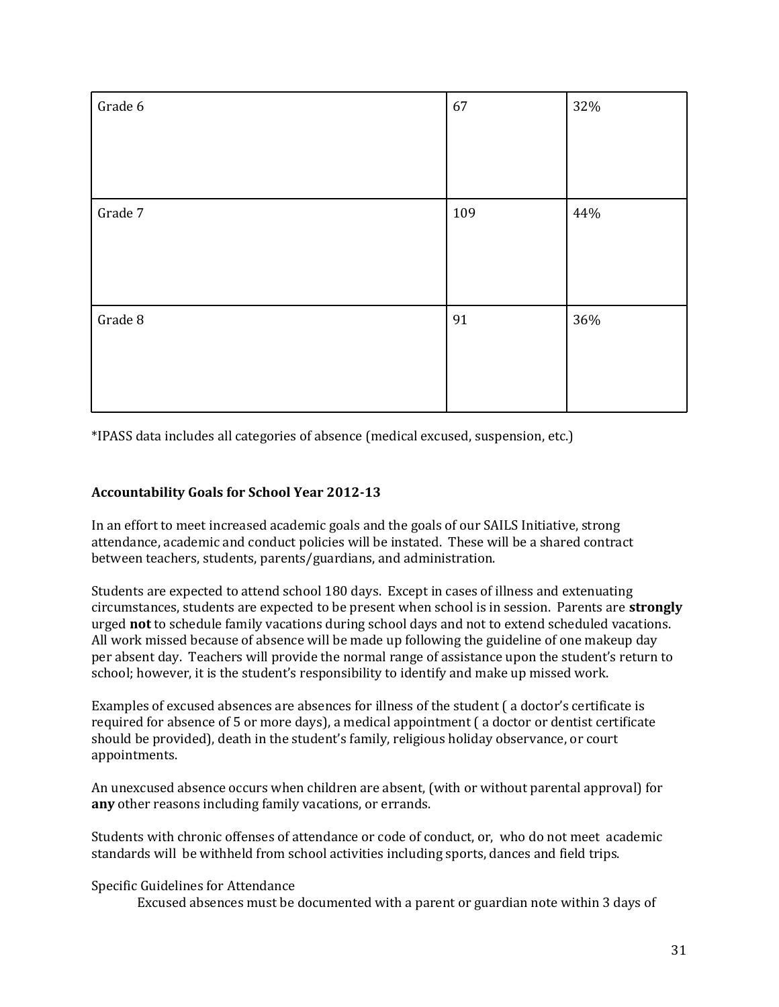| Grade 6 | 67  | 32% |
|---------|-----|-----|
|         |     |     |
|         |     |     |
| Grade 7 | 109 | 44% |
|         |     |     |
|         |     |     |
| Grade 8 | 91  | 36% |
|         |     |     |
|         |     |     |

\*IPASS data includes all categories of absence (medical excused, suspension, etc.)

## **Accountability Goals for School Year 2012-13**

In an effort to meet increased academic goals and the goals of our SAILS Initiative, strong attendance, academic and conduct policies will be instated. These will be a shared contract between teachers, students, parents/guardians, and administration.

Students are expected to attend school 180 days. Except in cases of illness and extenuating circumstances, students are expected to be present when school is in session. Parents are **strongly**  urged **not** to schedule family vacations during school days and not to extend scheduled vacations. All work missed because of absence will be made up following the guideline of one makeup day per absent day. Teachers will provide the normal range of assistance upon the student's return to school; however, it is the student's responsibility to identify and make up missed work.

Examples of excused absences are absences for illness of the student ( a doctor's certificate is required for absence of 5 or more days), a medical appointment ( a doctor or dentist certificate should be provided), death in the student's family, religious holiday observance, or court appointments.

An unexcused absence occurs when children are absent, (with or without parental approval) for **any** other reasons including family vacations, or errands.

Students with chronic offenses of attendance or code of conduct, or, who do not meet academic standards will be withheld from school activities including sports, dances and field trips.

#### Specific Guidelines for Attendance

Excused absences must be documented with a parent or guardian note within 3 days of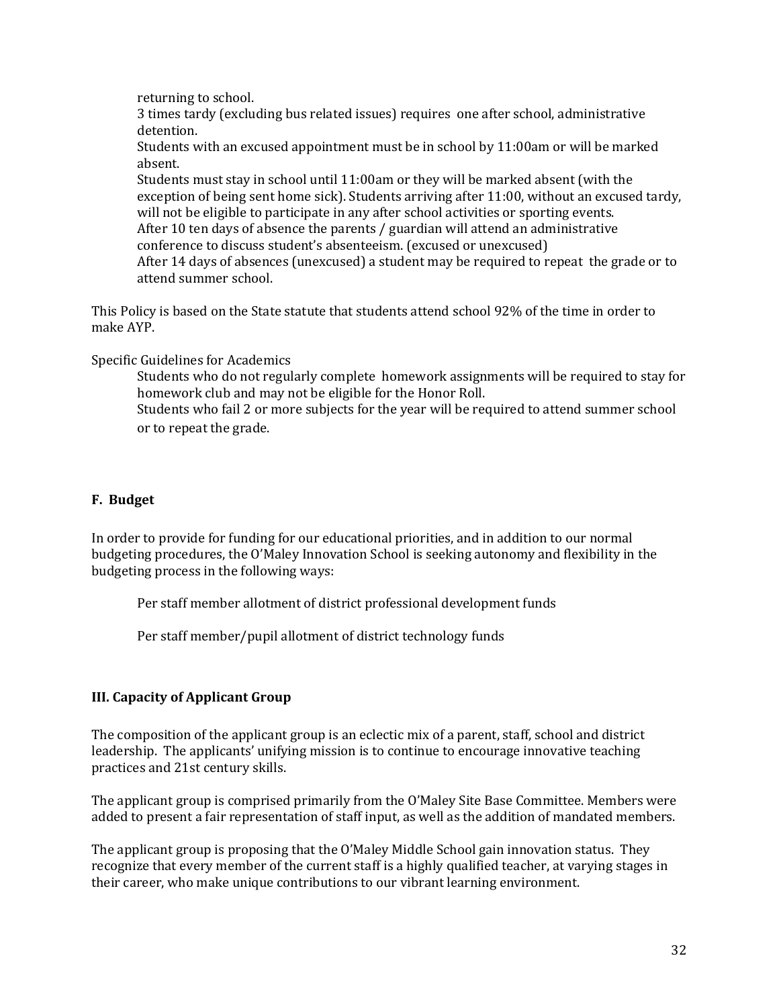returning to school.

3 times tardy (excluding bus related issues) requires one after school, administrative detention.

Students with an excused appointment must be in school by 11:00am or will be marked absent.

Students must stay in school until 11:00am or they will be marked absent (with the exception of being sent home sick). Students arriving after 11:00, without an excused tardy, will not be eligible to participate in any after school activities or sporting events. After 10 ten days of absence the parents / guardian will attend an administrative conference to discuss student's absenteeism. (excused or unexcused) After 14 days of absences (unexcused) a student may be required to repeat the grade or to attend summer school.

This Policy is based on the State statute that students attend school 92% of the time in order to make AYP.

Specific Guidelines for Academics

Students who do not regularly complete homework assignments will be required to stay for homework club and may not be eligible for the Honor Roll.

Students who fail 2 or more subjects for the year will be required to attend summer school or to repeat the grade.

## **F. Budget**

In order to provide for funding for our educational priorities, and in addition to our normal budgeting procedures, the O'Maley Innovation School is seeking autonomy and flexibility in the budgeting process in the following ways:

Per staff member allotment of district professional development funds

Per staff member/pupil allotment of district technology funds

## **III. Capacity of Applicant Group**

The composition of the applicant group is an eclectic mix of a parent, staff, school and district leadership. The applicants' unifying mission is to continue to encourage innovative teaching practices and 21st century skills.

The applicant group is comprised primarily from the O'Maley Site Base Committee. Members were added to present a fair representation of staff input, as well as the addition of mandated members.

The applicant group is proposing that the O'Maley Middle School gain innovation status. They recognize that every member of the current staff is a highly qualified teacher, at varying stages in their career, who make unique contributions to our vibrant learning environment.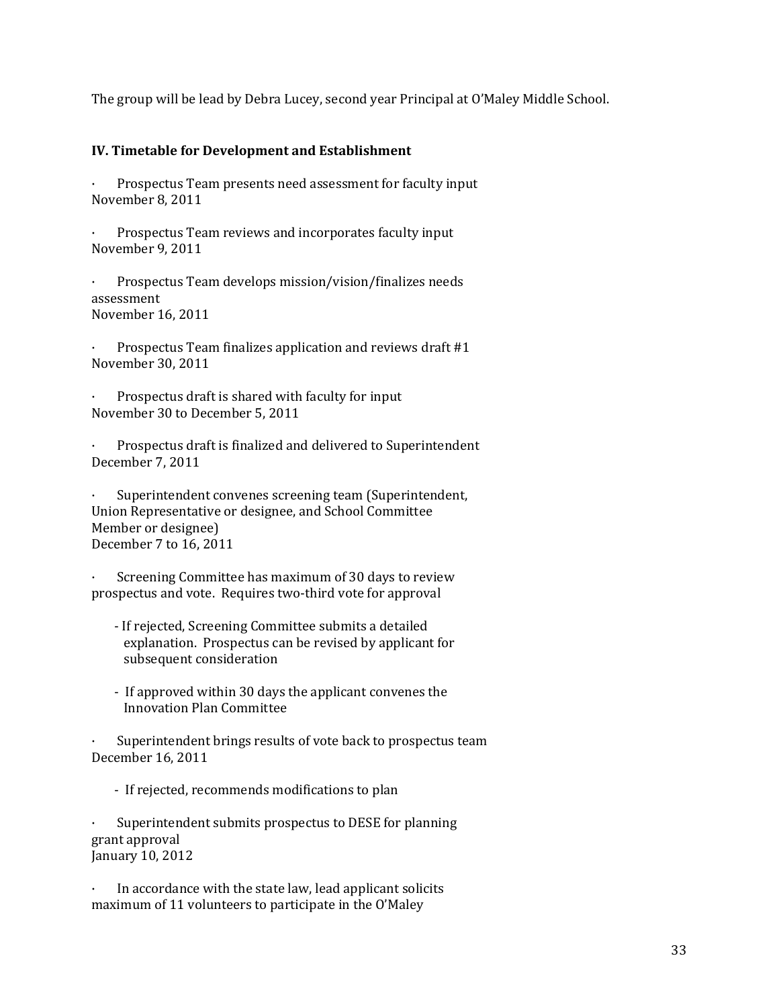The group will be lead by Debra Lucey, second year Principal at O'Maley Middle School.

## **IV. Timetable for Development and Establishment**

Prospectus Team presents need assessment for faculty input November 8, 2011

Prospectus Team reviews and incorporates faculty input November 9, 2011

Prospectus Team develops mission/vision/finalizes needs assessment November 16, 2011

Prospectus Team finalizes application and reviews draft #1 November 30, 2011

Prospectus draft is shared with faculty for input November 30 to December 5, 2011

· Prospectus draft is finalized and delivered to Superintendent December 7, 2011

Superintendent convenes screening team (Superintendent, Union Representative or designee, and School Committee Member or designee) December 7 to 16, 2011

Screening Committee has maximum of 30 days to review prospectus and vote. Requires two-third vote for approval

- If rejected, Screening Committee submits a detailed explanation. Prospectus can be revised by applicant for subsequent consideration
- If approved within 30 days the applicant convenes the Innovation Plan Committee

Superintendent brings results of vote back to prospectus team December 16, 2011

- If rejected, recommends modifications to plan

Superintendent submits prospectus to DESE for planning grant approval January 10, 2012

In accordance with the state law, lead applicant solicits maximum of 11 volunteers to participate in the O'Maley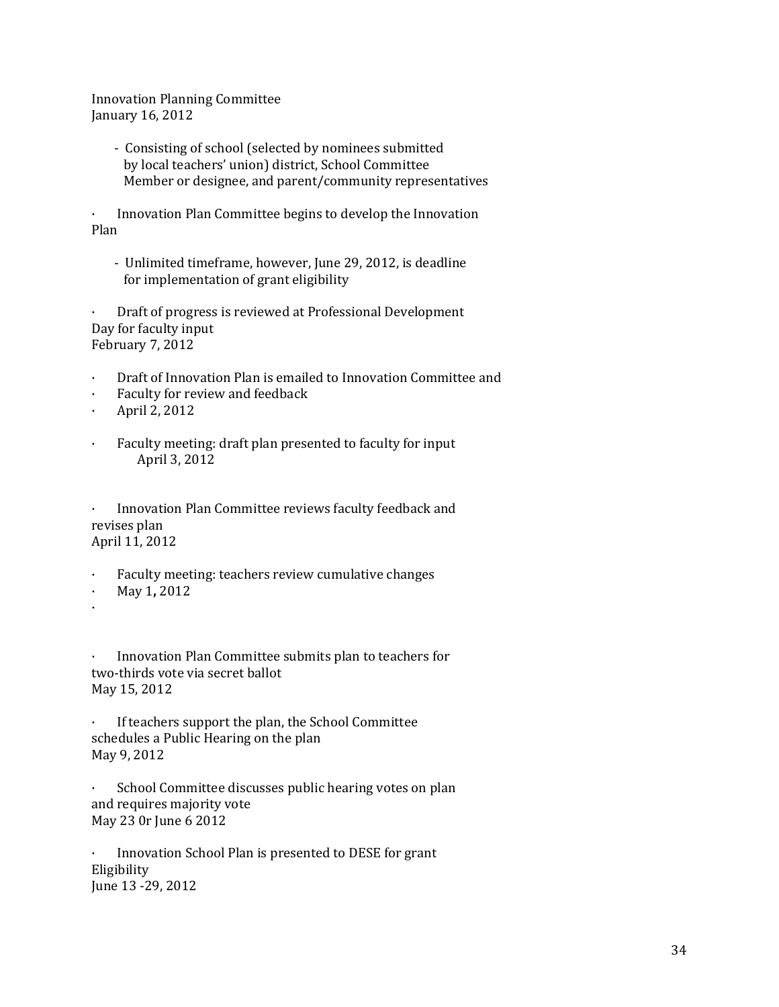Innovation Planning Committee January 16, 2012

> - Consisting of school (selected by nominees submitted by local teachers' union) district, School Committee Member or designee, and parent/community representatives

· Innovation Plan Committee begins to develop the Innovation Plan

- Unlimited timeframe, however, June 29, 2012, is deadline for implementation of grant eligibility

· Draft of progress is reviewed at Professional Development Day for faculty input February 7, 2012

- · Draft of Innovation Plan is emailed to Innovation Committee and
- Faculty for review and feedback
- · April 2, 2012
- Faculty meeting: draft plan presented to faculty for input April 3, 2012

Innovation Plan Committee reviews faculty feedback and revises plan April 11, 2012

- Faculty meeting: teachers review cumulative changes
- · May 1**,** 2012
- ·

Innovation Plan Committee submits plan to teachers for two-thirds vote via secret ballot May 15, 2012

If teachers support the plan, the School Committee schedules a Public Hearing on the plan May 9, 2012

· School Committee discusses public hearing votes on plan and requires majority vote May 23 0r June 6 2012

Innovation School Plan is presented to DESE for grant Eligibility June 13 -29, 2012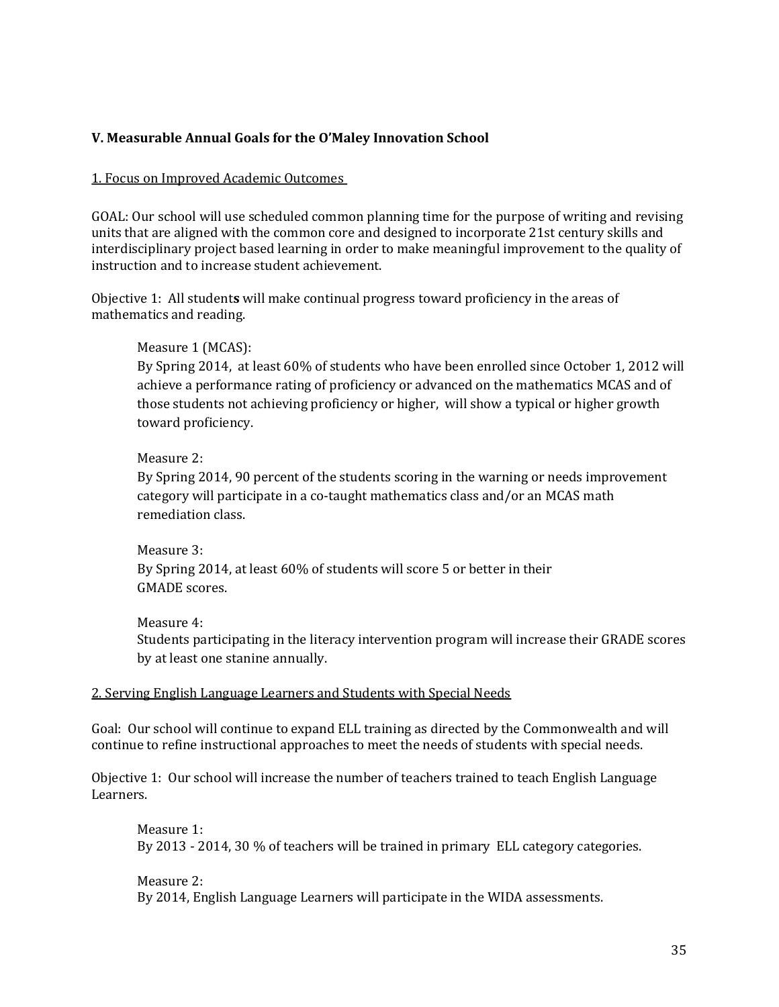### **V. Measurable Annual Goals for the O'Maley Innovation School**

#### 1. Focus on Improved Academic Outcomes

GOAL: Our school will use scheduled common planning time for the purpose of writing and revising units that are aligned with the common core and designed to incorporate 21st century skills and interdisciplinary project based learning in order to make meaningful improvement to the quality of instruction and to increase student achievement.

Objective 1: All student**s** will make continual progress toward proficiency in the areas of mathematics and reading.

#### Measure 1 (MCAS):

By Spring 2014, at least 60% of students who have been enrolled since October 1, 2012 will achieve a performance rating of proficiency or advanced on the mathematics MCAS and of those students not achieving proficiency or higher, will show a typical or higher growth toward proficiency.

#### Measure 2:

By Spring 2014, 90 percent of the students scoring in the warning or needs improvement category will participate in a co-taught mathematics class and/or an MCAS math remediation class.

Measure 3: By Spring 2014, at least 60% of students will score 5 or better in their GMADE scores.

#### Measure 4:

Students participating in the literacy intervention program will increase their GRADE scores by at least one stanine annually.

#### 2. Serving English Language Learners and Students with Special Needs

Goal: Our school will continue to expand ELL training as directed by the Commonwealth and will continue to refine instructional approaches to meet the needs of students with special needs.

Objective 1: Our school will increase the number of teachers trained to teach English Language Learners.

Measure 1: By 2013 - 2014, 30 % of teachers will be trained in primary ELL category categories.

Measure 2: By 2014, English Language Learners will participate in the WIDA assessments.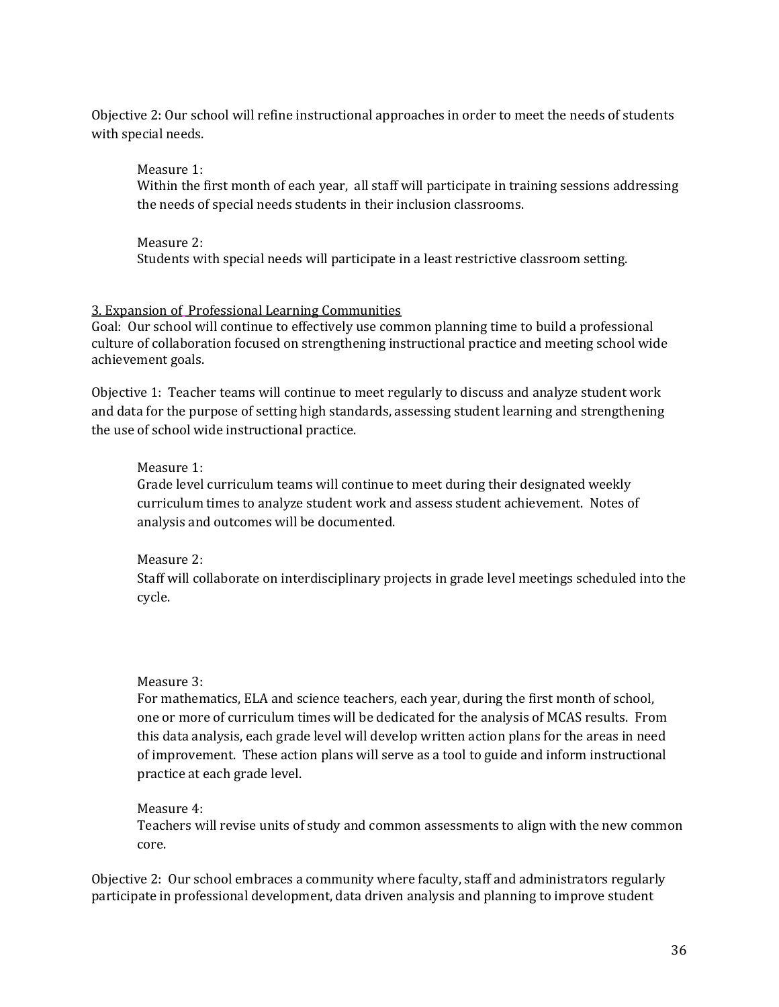Objective 2: Our school will refine instructional approaches in order to meet the needs of students with special needs.

Measure 1: Within the first month of each year, all staff will participate in training sessions addressing the needs of special needs students in their inclusion classrooms.

Measure 2: Students with special needs will participate in a least restrictive classroom setting.

## 3. Expansion of Professional Learning Communities

Goal: Our school will continue to effectively use common planning time to build a professional culture of collaboration focused on strengthening instructional practice and meeting school wide achievement goals.

Objective 1: Teacher teams will continue to meet regularly to discuss and analyze student work and data for the purpose of setting high standards, assessing student learning and strengthening the use of school wide instructional practice.

## Measure 1:

Grade level curriculum teams will continue to meet during their designated weekly curriculum times to analyze student work and assess student achievement. Notes of analysis and outcomes will be documented.

## Measure 2:

Staff will collaborate on interdisciplinary projects in grade level meetings scheduled into the cycle.

## Measure 3:

For mathematics, ELA and science teachers, each year, during the first month of school, one or more of curriculum times will be dedicated for the analysis of MCAS results. From this data analysis, each grade level will develop written action plans for the areas in need of improvement. These action plans will serve as a tool to guide and inform instructional practice at each grade level.

## Measure 4:

Teachers will revise units of study and common assessments to align with the new common core.

Objective 2: Our school embraces a community where faculty, staff and administrators regularly participate in professional development, data driven analysis and planning to improve student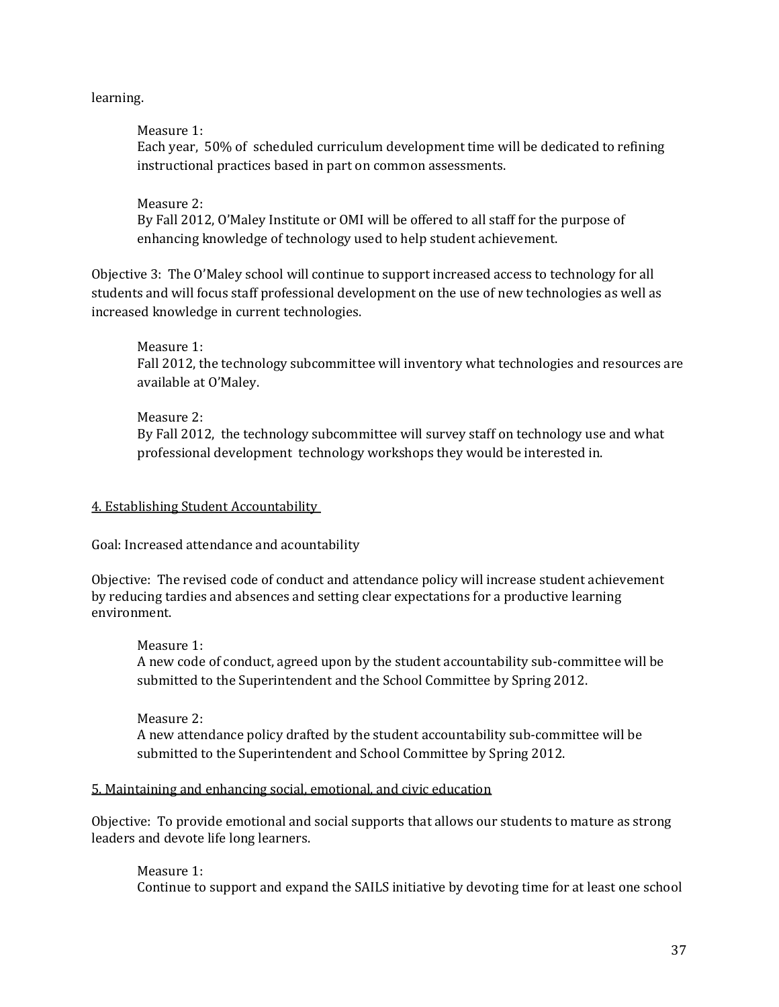## learning.

Measure 1: Each year, 50% of scheduled curriculum development time will be dedicated to refining instructional practices based in part on common assessments.

Measure 2: By Fall 2012, O'Maley Institute or OMI will be offered to all staff for the purpose of enhancing knowledge of technology used to help student achievement.

Objective 3: The O'Maley school will continue to support increased access to technology for all students and will focus staff professional development on the use of new technologies as well as increased knowledge in current technologies.

Measure 1:

Fall 2012, the technology subcommittee will inventory what technologies and resources are available at O'Maley.

Measure 2: By Fall 2012, the technology subcommittee will survey staff on technology use and what professional development technology workshops they would be interested in.

#### 4. Establishing Student Accountability

Goal: Increased attendance and acountability

Objective: The revised code of conduct and attendance policy will increase student achievement by reducing tardies and absences and setting clear expectations for a productive learning environment.

Measure 1: A new code of conduct, agreed upon by the student accountability sub-committee will be submitted to the Superintendent and the School Committee by Spring 2012.

Measure 2: A new attendance policy drafted by the student accountability sub-committee will be submitted to the Superintendent and School Committee by Spring 2012.

#### 5. Maintaining and enhancing social, emotional, and civic education

Objective: To provide emotional and social supports that allows our students to mature as strong leaders and devote life long learners.

Measure 1: Continue to support and expand the SAILS initiative by devoting time for at least one school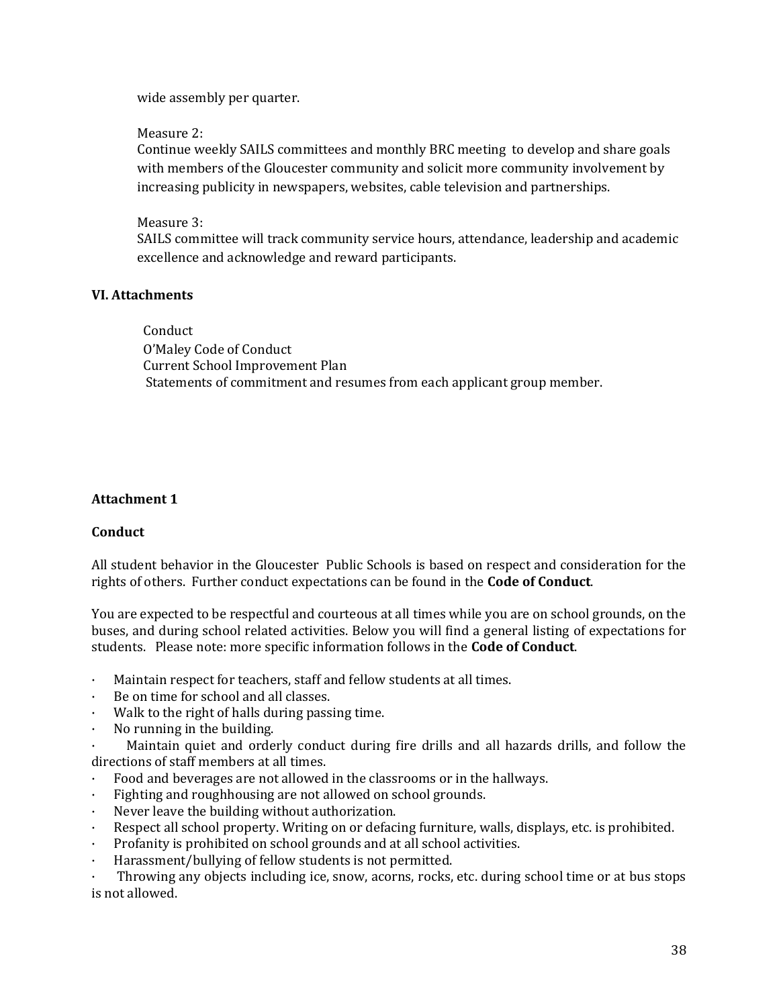wide assembly per quarter.

### Measure 2:

Continue weekly SAILS committees and monthly BRC meeting to develop and share goals with members of the Gloucester community and solicit more community involvement by increasing publicity in newspapers, websites, cable television and partnerships.

### Measure 3:

SAILS committee will track community service hours, attendance, leadership and academic excellence and acknowledge and reward participants.

#### **VI. Attachments**

 Conduct O'Maley Code of Conduct Current School Improvement Plan Statements of commitment and resumes from each applicant group member.

## **Attachment 1**

## **Conduct**

All student behavior in the Gloucester Public Schools is based on respect and consideration for the rights of others. Further conduct expectations can be found in the **Code of Conduct**.

You are expected to be respectful and courteous at all times while you are on school grounds, on the buses, and during school related activities. Below you will find a general listing of expectations for students. Please note: more specific information follows in the **Code of Conduct**.

- · Maintain respect for teachers, staff and fellow students at all times.
- Be on time for school and all classes.
- Walk to the right of halls during passing time.
- · No running in the building.

Maintain quiet and orderly conduct during fire drills and all hazards drills, and follow the directions of staff members at all times.

- · Food and beverages are not allowed in the classrooms or in the hallways.
- Fighting and roughhousing are not allowed on school grounds.
- Never leave the building without authorization.
- Respect all school property. Writing on or defacing furniture, walls, displays, etc. is prohibited.
- Profanity is prohibited on school grounds and at all school activities.
- Harassment/bullying of fellow students is not permitted.

· Throwing any objects including ice, snow, acorns, rocks, etc. during school time or at bus stops is not allowed.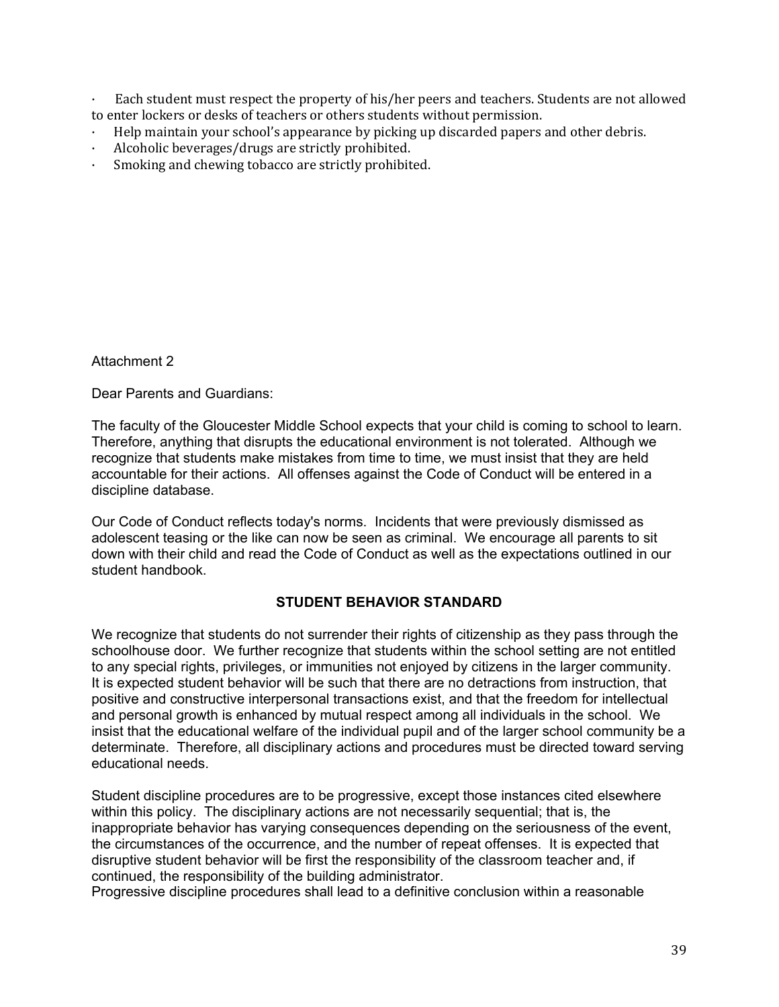Each student must respect the property of his/her peers and teachers. Students are not allowed to enter lockers or desks of teachers or others students without permission.

- · Help maintain your school's appearance by picking up discarded papers and other debris.
- Alcoholic beverages/drugs are strictly prohibited.
- Smoking and chewing tobacco are strictly prohibited.

Attachment 2

Dear Parents and Guardians:

The faculty of the Gloucester Middle School expects that your child is coming to school to learn. Therefore, anything that disrupts the educational environment is not tolerated. Although we recognize that students make mistakes from time to time, we must insist that they are held accountable for their actions. All offenses against the Code of Conduct will be entered in a discipline database.

Our Code of Conduct reflects today's norms. Incidents that were previously dismissed as adolescent teasing or the like can now be seen as criminal. We encourage all parents to sit down with their child and read the Code of Conduct as well as the expectations outlined in our student handbook.

## **STUDENT BEHAVIOR STANDARD**

We recognize that students do not surrender their rights of citizenship as they pass through the schoolhouse door. We further recognize that students within the school setting are not entitled to any special rights, privileges, or immunities not enjoyed by citizens in the larger community. It is expected student behavior will be such that there are no detractions from instruction, that positive and constructive interpersonal transactions exist, and that the freedom for intellectual and personal growth is enhanced by mutual respect among all individuals in the school. We insist that the educational welfare of the individual pupil and of the larger school community be a determinate. Therefore, all disciplinary actions and procedures must be directed toward serving educational needs.

Student discipline procedures are to be progressive, except those instances cited elsewhere within this policy. The disciplinary actions are not necessarily sequential; that is, the inappropriate behavior has varying consequences depending on the seriousness of the event, the circumstances of the occurrence, and the number of repeat offenses. It is expected that disruptive student behavior will be first the responsibility of the classroom teacher and, if continued, the responsibility of the building administrator.

Progressive discipline procedures shall lead to a definitive conclusion within a reasonable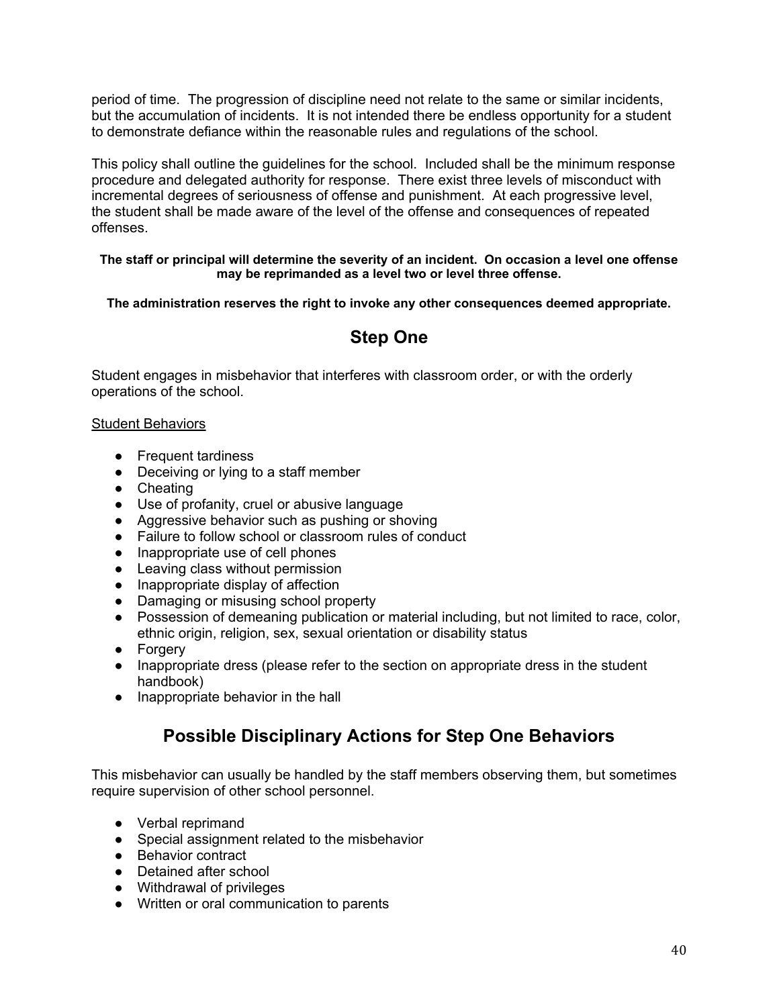period of time. The progression of discipline need not relate to the same or similar incidents, but the accumulation of incidents. It is not intended there be endless opportunity for a student to demonstrate defiance within the reasonable rules and regulations of the school.

This policy shall outline the guidelines for the school. Included shall be the minimum response procedure and delegated authority for response. There exist three levels of misconduct with incremental degrees of seriousness of offense and punishment. At each progressive level, the student shall be made aware of the level of the offense and consequences of repeated offenses.

#### **The staff or principal will determine the severity of an incident. On occasion a level one offense may be reprimanded as a level two or level three offense.**

**The administration reserves the right to invoke any other consequences deemed appropriate.**

## **Step One**

Student engages in misbehavior that interferes with classroom order, or with the orderly operations of the school.

## **Student Behaviors**

- Frequent tardiness
- Deceiving or lying to a staff member
- Cheating
- Use of profanity, cruel or abusive language
- Aggressive behavior such as pushing or shoving
- Failure to follow school or classroom rules of conduct
- Inappropriate use of cell phones
- Leaving class without permission
- Inappropriate display of affection
- Damaging or misusing school property
- Possession of demeaning publication or material including, but not limited to race, color, ethnic origin, religion, sex, sexual orientation or disability status
- Forgery
- Inappropriate dress (please refer to the section on appropriate dress in the student handbook)
- Inappropriate behavior in the hall

## **Possible Disciplinary Actions for Step One Behaviors**

This misbehavior can usually be handled by the staff members observing them, but sometimes require supervision of other school personnel.

- Verbal reprimand
- Special assignment related to the misbehavior
- Behavior contract
- Detained after school
- Withdrawal of privileges
- Written or oral communication to parents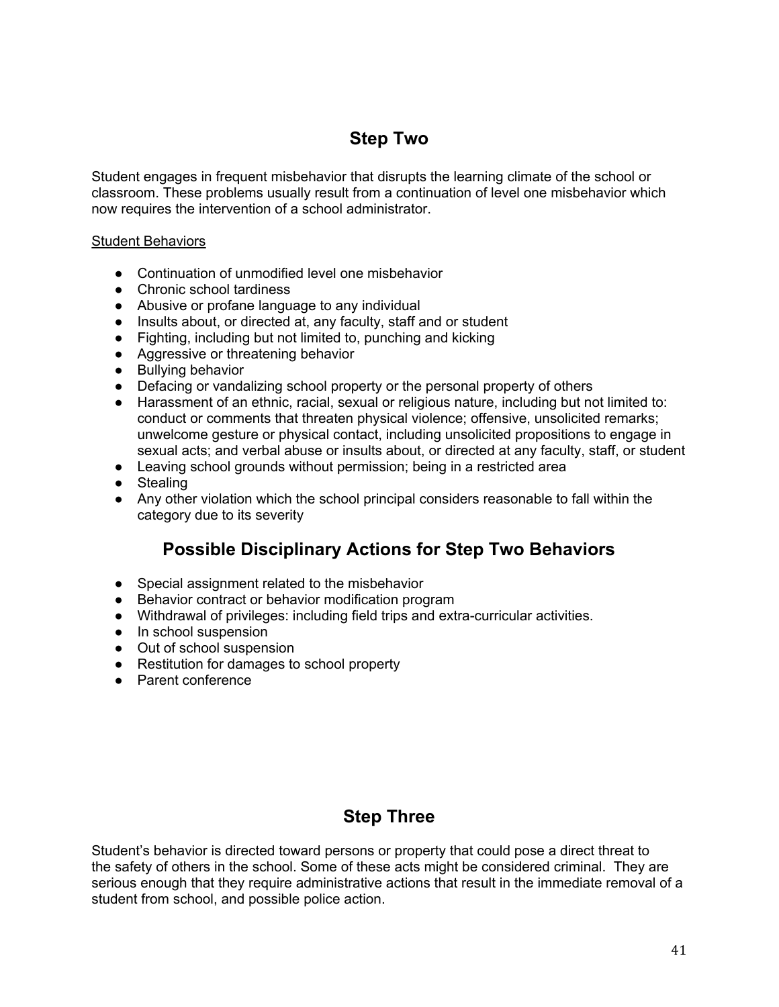## **Step Two**

Student engages in frequent misbehavior that disrupts the learning climate of the school or classroom. These problems usually result from a continuation of level one misbehavior which now requires the intervention of a school administrator.

## Student Behaviors

- Continuation of unmodified level one misbehavior
- Chronic school tardiness
- Abusive or profane language to any individual
- Insults about, or directed at, any faculty, staff and or student
- Fighting, including but not limited to, punching and kicking
- Aggressive or threatening behavior
- Bullying behavior
- Defacing or vandalizing school property or the personal property of others
- Harassment of an ethnic, racial, sexual or religious nature, including but not limited to: conduct or comments that threaten physical violence; offensive, unsolicited remarks; unwelcome gesture or physical contact, including unsolicited propositions to engage in sexual acts; and verbal abuse or insults about, or directed at any faculty, staff, or student
- Leaving school grounds without permission; being in a restricted area
- Stealing
- Any other violation which the school principal considers reasonable to fall within the category due to its severity

## **Possible Disciplinary Actions for Step Two Behaviors**

- Special assignment related to the misbehavior
- Behavior contract or behavior modification program
- Withdrawal of privileges: including field trips and extra-curricular activities.
- In school suspension
- Out of school suspension
- Restitution for damages to school property
- Parent conference

## **Step Three**

Student's behavior is directed toward persons or property that could pose a direct threat to the safety of others in the school. Some of these acts might be considered criminal. They are serious enough that they require administrative actions that result in the immediate removal of a student from school, and possible police action.